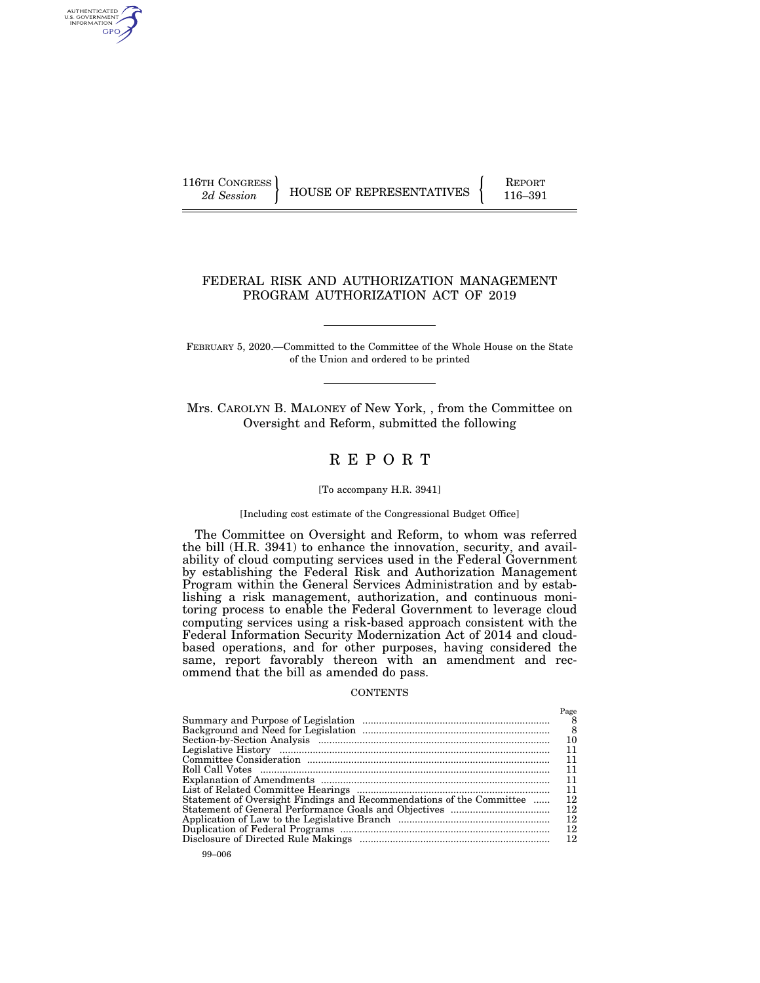AUTHENTICATED<br>U.S. GOVERNMENT<br>INFORMATION GPO

116TH CONGRESS HOUSE OF REPRESENTATIVES FEPORT 116–391

## FEDERAL RISK AND AUTHORIZATION MANAGEMENT PROGRAM AUTHORIZATION ACT OF 2019

FEBRUARY 5, 2020.—Committed to the Committee of the Whole House on the State of the Union and ordered to be printed

Mrs. CAROLYN B. MALONEY of New York, , from the Committee on Oversight and Reform, submitted the following

## R E P O R T

#### [To accompany H.R. 3941]

#### [Including cost estimate of the Congressional Budget Office]

The Committee on Oversight and Reform, to whom was referred the bill (H.R. 3941) to enhance the innovation, security, and availability of cloud computing services used in the Federal Government by establishing the Federal Risk and Authorization Management Program within the General Services Administration and by establishing a risk management, authorization, and continuous monitoring process to enable the Federal Government to leverage cloud computing services using a risk-based approach consistent with the Federal Information Security Modernization Act of 2014 and cloudbased operations, and for other purposes, having considered the same, report favorably thereon with an amendment and recommend that the bill as amended do pass.

#### **CONTENTS**

|                                                                      | Page |
|----------------------------------------------------------------------|------|
|                                                                      | 8    |
|                                                                      | 8    |
|                                                                      | 10   |
|                                                                      | 11   |
|                                                                      | 11   |
|                                                                      | 11   |
|                                                                      | 11   |
|                                                                      | 11   |
| Statement of Oversight Findings and Recommendations of the Committee | 12   |
|                                                                      | 12   |
|                                                                      | 12   |
|                                                                      | 12   |
|                                                                      | 12   |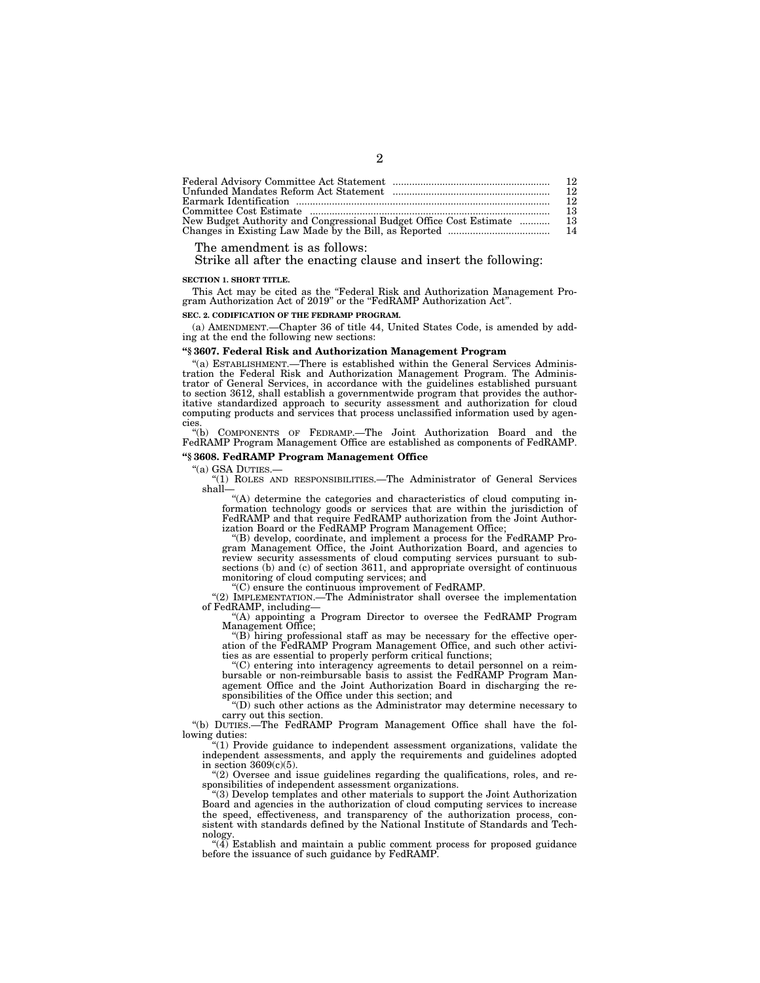| - 13 |
|------|
|      |
|      |

The amendment is as follows:

Strike all after the enacting clause and insert the following:

#### **SECTION 1. SHORT TITLE.**

This Act may be cited as the ''Federal Risk and Authorization Management Program Authorization Act of 2019" or the "FedRAMP Authorization Act".

#### **SEC. 2. CODIFICATION OF THE FEDRAMP PROGRAM.**

(a) AMENDMENT.—Chapter 36 of title 44, United States Code, is amended by adding at the end the following new sections:

#### **''§ 3607. Federal Risk and Authorization Management Program**

''(a) ESTABLISHMENT.—There is established within the General Services Administration the Federal Risk and Authorization Management Program. The Administrator of General Services, in accordance with the guidelines established pursuant to section 3612, shall establish a governmentwide program that provides the authoritative standardized approach to security assessment and authorization for cloud computing products and services that process unclassified information used by agencies

''(b) COMPONENTS OF FEDRAMP.—The Joint Authorization Board and the FedRAMP Program Management Office are established as components of FedRAMP.

# **''§ 3608. FedRAMP Program Management Office**

"(1) ROLES AND RESPONSIBILITIES.— The Administrator of General Services shall—

''(A) determine the categories and characteristics of cloud computing information technology goods or services that are within the jurisdiction of FedRAMP and that require FedRAMP authorization from the Joint Authorization Board or the FedRAMP Program Management Office;

''(B) develop, coordinate, and implement a process for the FedRAMP Pro-gram Management Office, the Joint Authorization Board, and agencies to review security assessments of cloud computing services pursuant to sub-sections (b) and (c) of section 3611, and appropriate oversight of continuous monitoring of cloud computing services; and

''(C) ensure the continuous improvement of FedRAMP.

''(2) IMPLEMENTATION.—The Administrator shall oversee the implementation of FedRAMP, including—

''(A) appointing a Program Director to oversee the FedRAMP Program

Management Office; ''(B) hiring professional staff as may be necessary for the effective operation of the FedRAMP Program Management Office, and such other activities as are essential to properly perform critical functions;

''(C) entering into interagency agreements to detail personnel on a reimbursable or non-reimbursable basis to assist the FedRAMP Program Management Office and the Joint Authorization Board in discharging the responsibilities of the Office under this section; and

''(D) such other actions as the Administrator may determine necessary to carry out this section.

''(b) DUTIES.—The FedRAMP Program Management Office shall have the following duties:

''(1) Provide guidance to independent assessment organizations, validate the independent assessments, and apply the requirements and guidelines adopted in section 3609(c)(5).

''(2) Oversee and issue guidelines regarding the qualifications, roles, and responsibilities of independent assessment organizations.

''(3) Develop templates and other materials to support the Joint Authorization Board and agencies in the authorization of cloud computing services to increase the speed, effectiveness, and transparency of the authorization process, consistent with standards defined by the National Institute of Standards and Technology.

 $(4)$  Establish and maintain a public comment process for proposed guidance before the issuance of such guidance by FedRAMP.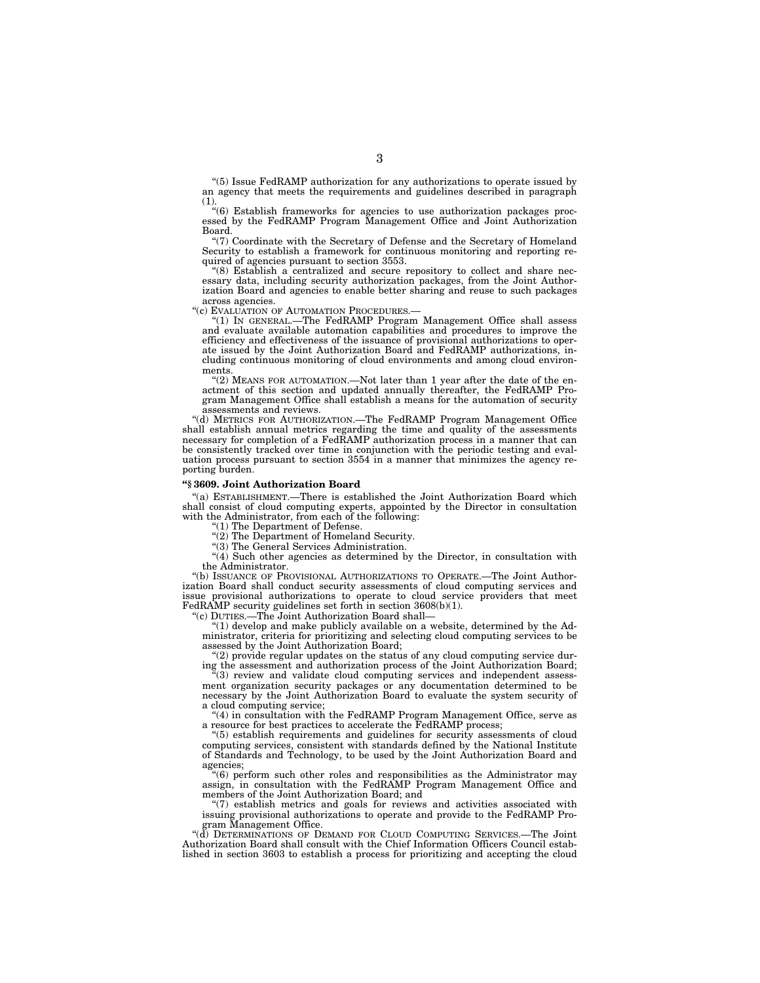"(5) Issue FedRAMP authorization for any authorizations to operate issued by an agency that meets the requirements and guidelines described in paragraph (1).

''(6) Establish frameworks for agencies to use authorization packages processed by the FedRAMP Program Management Office and Joint Authorization Board.

''(7) Coordinate with the Secretary of Defense and the Secretary of Homeland Security to establish a framework for continuous monitoring and reporting required of agencies pursuant to section 3553.

''(8) Establish a centralized and secure repository to collect and share necessary data, including security authorization packages, from the Joint Authorization Board and agencies to enable better sharing and reuse to such packages across agencies.

''(c) EVALUATION OF AUTOMATION PROCEDURES.—

''(1) IN GENERAL.—The FedRAMP Program Management Office shall assess and evaluate available automation capabilities and procedures to improve the efficiency and effectiveness of the issuance of provisional authorizations to operate issued by the Joint Authorization Board and FedRAMP authorizations, including continuous monitoring of cloud environments and among cloud environments.

"(2) MEANS FOR AUTOMATION.—Not later than 1 year after the date of the enactment of this section and updated annually thereafter, the FedRAMP Program Management Office shall establish a means for the automation of security assessments and reviews.

''(d) METRICS FOR AUTHORIZATION.—The FedRAMP Program Management Office shall establish annual metrics regarding the time and quality of the assessments necessary for completion of a FedRAMP authorization process in a manner that can be consistently tracked over time in conjunction with the periodic testing and evaluation process pursuant to section 3554 in a manner that minimizes the agency reporting burden.

#### **''§ 3609. Joint Authorization Board**

''(a) ESTABLISHMENT.—There is established the Joint Authorization Board which shall consist of cloud computing experts, appointed by the Director in consultation with the Administrator, from each of the following:

''(1) The Department of Defense.

 $\sqrt{\frac{2}{2}}$  The Department of Homeland Security.

''(3) The General Services Administration.

"(4) Such other agencies as determined by the Director, in consultation with the Administrator.

''(b) ISSUANCE OF PROVISIONAL AUTHORIZATIONS TO OPERATE.—The Joint Authorization Board shall conduct security assessments of cloud computing services and issue provisional authorizations to operate to cloud service providers that meet FedRAMP security guidelines set forth in section 3608(b)(1).

(c) DUTIES.—The Joint Authorization Board shall—

 $''(1)$  develop and make publicly available on a website, determined by the Administrator, criteria for prioritizing and selecting cloud computing services to be assessed by the Joint Authorization Board;

"(2) provide regular updates on the status of any cloud computing service during the assessment and authorization process of the Joint Authorization Board;

 $\cdot$ (3) review and validate cloud computing services and independent assessment organization security packages or any documentation determined to be necessary by the Joint Authorization Board to evaluate the system security of a cloud computing service;

 $(4)$  in consultation with the FedRAMP Program Management Office, serve as a resource for best practices to accelerate the FedRAMP process;

 $(5)$  establish requirements and guidelines for security assessments of cloud computing services, consistent with standards defined by the National Institute of Standards and Technology, to be used by the Joint Authorization Board and agencies;

''(6) perform such other roles and responsibilities as the Administrator may assign, in consultation with the FedRAMP Program Management Office and members of the Joint Authorization Board; and

 $(7)$  establish metrics and goals for reviews and activities associated with issuing provisional authorizations to operate and provide to the FedRAMP Pro-gram Management Office.

''(d) DETERMINATIONS OF DEMAND FOR CLOUD COMPUTING SERVICES.—The Joint Authorization Board shall consult with the Chief Information Officers Council established in section 3603 to establish a process for prioritizing and accepting the cloud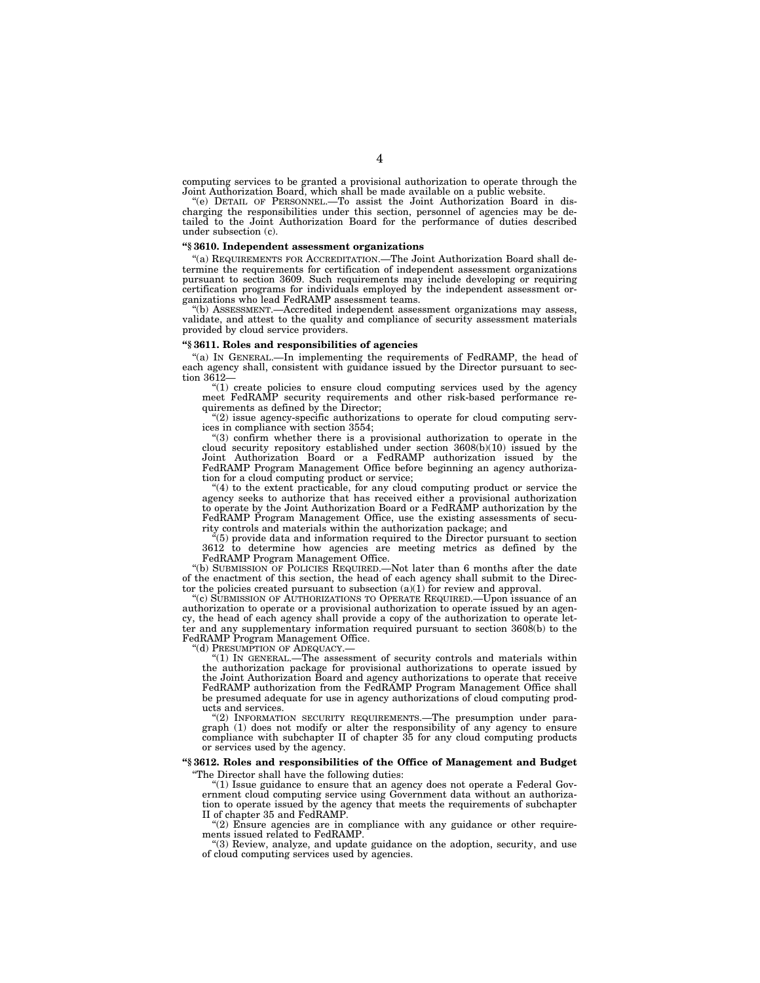computing services to be granted a provisional authorization to operate through the Joint Authorization Board, which shall be made available on a public website.

''(e) DETAIL OF PERSONNEL.—To assist the Joint Authorization Board in discharging the responsibilities under this section, personnel of agencies may be detailed to the Joint Authorization Board for the performance of duties described under subsection (c).

#### **''§ 3610. Independent assessment organizations**

''(a) REQUIREMENTS FOR ACCREDITATION.—The Joint Authorization Board shall determine the requirements for certification of independent assessment organizations pursuant to section 3609. Such requirements may include developing or requiring certification programs for individuals employed by the independent assessment organizations who lead FedRAMP assessment teams.

''(b) ASSESSMENT.—Accredited independent assessment organizations may assess, validate, and attest to the quality and compliance of security assessment materials provided by cloud service providers.

## **''§ 3611. Roles and responsibilities of agencies**

''(a) IN GENERAL.—In implementing the requirements of FedRAMP, the head of each agency shall, consistent with guidance issued by the Director pursuant to section 3612—

''(1) create policies to ensure cloud computing services used by the agency meet FedRAMP security requirements and other risk-based performance requirements as defined by the Director;

"(2) issue agency-specific authorizations to operate for cloud computing services in compliance with section 3554;

"(3) confirm whether there is a provisional authorization to operate in the cloud security repository established under section 3608(b)(10) issued by the Joint Authorization Board or a FedRAMP authorization issued by the FedRAMP Program Management Office before beginning an agency authorization for a cloud computing product or service;

 $''(4)$  to the extent practicable, for any cloud computing product or service the agency seeks to authorize that has received either a provisional authorization to operate by the Joint Authorization Board or a FedRAMP authorization by the FedRAMP Program Management Office, use the existing assessments of security controls and materials within the authorization package; and

 $\tilde{H}(5)$  provide data and information required to the Director pursuant to section 3612 to determine how agencies are meeting metrics as defined by the FedRAMP Program Management Office.

''(b) SUBMISSION OF POLICIES REQUIRED.—Not later than 6 months after the date of the enactment of this section, the head of each agency shall submit to the Director the policies created pursuant to subsection  $(a)(1)$  for review and approval.

''(c) SUBMISSION OF AUTHORIZATIONS TO OPERATE REQUIRED.—Upon issuance of an authorization to operate or a provisional authorization to operate issued by an agency, the head of each agency shall provide a copy of the authorization to operate letter and any supplementary information required pursuant to section 3608(b) to the FedRAMP Program Management Office.

''(d) PRESUMPTION OF ADEQUACY.—

''(1) IN GENERAL.—The assessment of security controls and materials within the authorization package for provisional authorizations to operate issued by the Joint Authorization Board and agency authorizations to operate that receive FedRAMP authorization from the FedRAMP Program Management Office shall be presumed adequate for use in agency authorizations of cloud computing products and services.

''(2) INFORMATION SECURITY REQUIREMENTS.—The presumption under paragraph (1) does not modify or alter the responsibility of any agency to ensure compliance with subchapter II of chapter 35 for any cloud computing products or services used by the agency.

#### **''§ 3612. Roles and responsibilities of the Office of Management and Budget**  ''The Director shall have the following duties:

''(1) Issue guidance to ensure that an agency does not operate a Federal Government cloud computing service using Government data without an authorization to operate issued by the agency that meets the requirements of subchapter

II of chapter 35 and FedRAMP.<br>"(2) Ensure agencies are in compliance with any guidance or other requirements issued related to FedRAMP.

''(3) Review, analyze, and update guidance on the adoption, security, and use of cloud computing services used by agencies.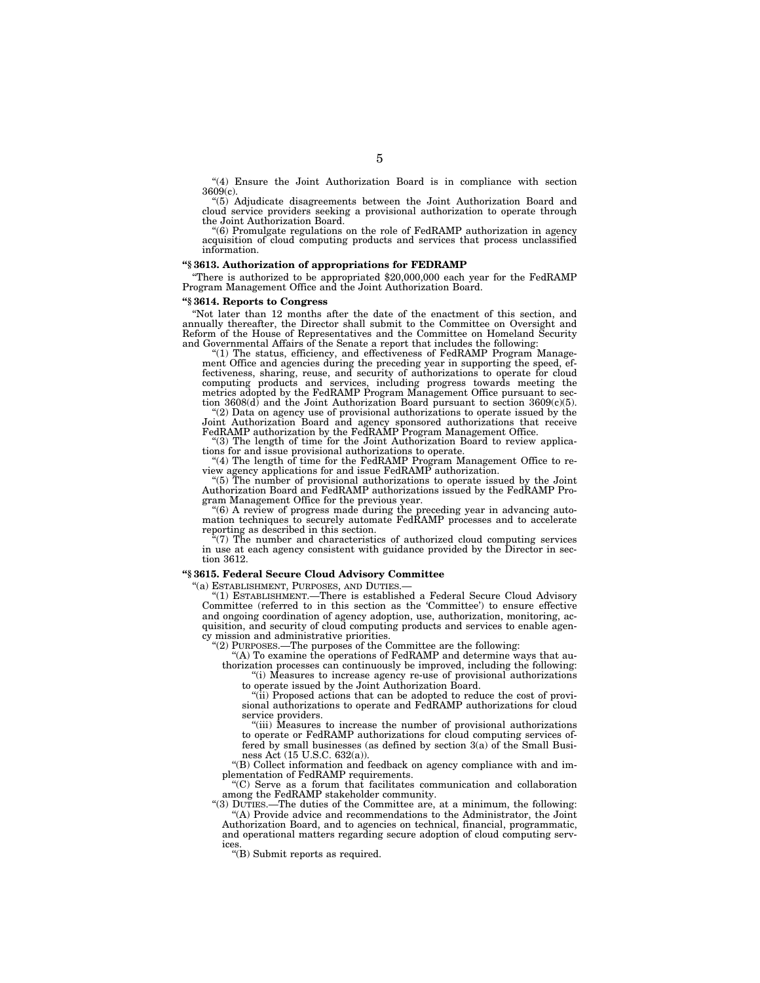''(4) Ensure the Joint Authorization Board is in compliance with section 3609(c).

''(5) Adjudicate disagreements between the Joint Authorization Board and cloud service providers seeking a provisional authorization to operate through the Joint Authorization Board.

 $(6)$  Promulgate regulations on the role of FedRAMP authorization in agency acquisition of cloud computing products and services that process unclassified information.

#### **''§ 3613. Authorization of appropriations for FEDRAMP**

''There is authorized to be appropriated \$20,000,000 each year for the FedRAMP Program Management Office and the Joint Authorization Board.

#### **''§ 3614. Reports to Congress**

''Not later than 12 months after the date of the enactment of this section, and annually thereafter, the Director shall submit to the Committee on Oversight and Reform of the House of Representatives and the Committee on Homeland Security and Governmental Affairs of the Senate a report that includes the following:

 $(1)$  The status, efficiency, and effectiveness of FedRAMP Program Management Office and agencies during the preceding year in supporting the speed, ef-fectiveness, sharing, reuse, and security of authorizations to operate for cloud computing products and services, including progress towards meeting the metrics adopted by the FedRAMP Program Management Office pursuant to section  $3608(d)$  and the Joint Authorization Board pursuant to section  $3609(c)(5)$ . ''(2) Data on agency use of provisional authorizations to operate issued by the

Joint Authorization Board and agency sponsored authorizations that receive FedRAMP authorization by the FedRAMP Program Management Office.

"(3) The length of time for the Joint Authorization Board to review applications for and issue provisional authorizations to operate.

"(4) The length of time for the FedRAMP Program Management Office to review agency applications for and issue FedRAMP authorization.

''(5) The number of provisional authorizations to operate issued by the Joint Authorization Board and FedRAMP authorizations issued by the FedRAMP Program Management Office for the previous year.

''(6) A review of progress made during the preceding year in advancing auto-mation techniques to securely automate FedRAMP processes and to accelerate reporting as described in this section.

(7) The number and characteristics of authorized cloud computing services in use at each agency consistent with guidance provided by the Director in section 3612.

#### **''§ 3615. Federal Secure Cloud Advisory Committee**

''(a) ESTABLISHMENT, PURPOSES, AND DUTIES.— ''(1) ESTABLISHMENT.—There is established a Federal Secure Cloud Advisory Committee (referred to in this section as the 'Committee') to ensure effective and ongoing coordination of agency adoption, use, authorization, monitoring, acquisition, and security of cloud computing products and services to enable agency mission and administrative priorities.

''(2) PURPOSES.—The purposes of the Committee are the following:

(A) To examine the operations of FedRAMP and determine ways that authorization processes can continuously be improved, including the following: ''(i) Measures to increase agency re-use of provisional authorizations

to operate issued by the Joint Authorization Board.

''(ii) Proposed actions that can be adopted to reduce the cost of provisional authorizations to operate and FedRAMP authorizations for cloud service providers.

"(iii) Measures to increase the number of provisional authorizations to operate or FedRAMP authorizations for cloud computing services offered by small businesses (as defined by section  $3(a)$  of the Small Business Act (15 U.S.C. 632(a)).

''(B) Collect information and feedback on agency compliance with and implementation of FedRAMP requirements.

''(C) Serve as a forum that facilitates communication and collaboration among the FedRAMP stakeholder community.

''(3) DUTIES.—The duties of the Committee are, at a minimum, the following: ''(A) Provide advice and recommendations to the Administrator, the Joint Authorization Board, and to agencies on technical, financial, programmatic, and operational matters regarding secure adoption of cloud computing services.

''(B) Submit reports as required.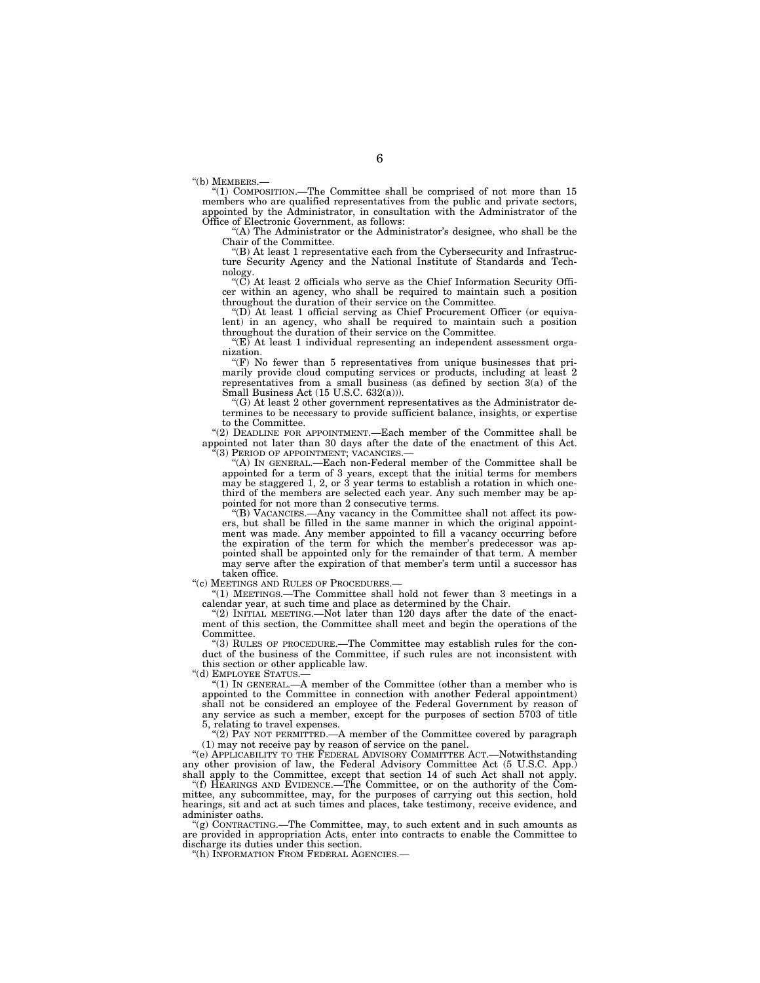''(b) MEMBERS.—

''(1) COMPOSITION.—The Committee shall be comprised of not more than 15 members who are qualified representatives from the public and private sectors, appointed by the Administrator, in consultation with the Administrator of the Office of Electronic Government, as follows:

''(A) The Administrator or the Administrator's designee, who shall be the Chair of the Committee.

''(B) At least 1 representative each from the Cybersecurity and Infrastructure Security Agency and the National Institute of Standards and Technology.

" $(\breve{C})$  At least 2 officials who serve as the Chief Information Security Officer within an agency, who shall be required to maintain such a position throughout the duration of their service on the Committee.

''(D) At least 1 official serving as Chief Procurement Officer (or equivalent) in an agency, who shall be required to maintain such a position throughout the duration of their service on the Committee.

 $(E)$  At least 1 individual representing an independent assessment organization.

" $(F)$  No fewer than 5 representatives from unique businesses that primarily provide cloud computing services or products, including at least 2 representatives from a small business (as defined by section  $3(a)$  of the Small Business Act (15 U.S.C. 632(a))).

''(G) At least 2 other government representatives as the Administrator determines to be necessary to provide sufficient balance, insights, or expertise to the Committee.

''(2) DEADLINE FOR APPOINTMENT.—Each member of the Committee shall be appointed not later than 30 days after the date of the enactment of this Act. ''(3) PERIOD OF APPOINTMENT; VACANCIES.—

"(A) IN GENERAL.—Each non-Federal member of the Committee shall be appointed for a term of 3 years, except that the initial terms for members may be staggered 1, 2, or 3 year terms to establish a rotation in which onethird of the members are selected each year. Any such member may be appointed for not more than 2 consecutive terms.

''(B) VACANCIES.—Any vacancy in the Committee shall not affect its powers, but shall be filled in the same manner in which the original appointment was made. Any member appointed to fill a vacancy occurring before the expiration of the term for which the member's predecessor was appointed shall be appointed only for the remainder of that term. A member may serve after the expiration of that member's term until a successor has taken office.

''(c) MEETINGS AND RULES OF PROCEDURES.—

''(1) MEETINGS.—The Committee shall hold not fewer than 3 meetings in a calendar year, at such time and place as determined by the Chair.

"(2) INITIAL MEETING.—Not later than  $120$  days after the date of the enactment of this section, the Committee shall meet and begin the operations of the **Committee** 

''(3) RULES OF PROCEDURE.—The Committee may establish rules for the conduct of the business of the Committee, if such rules are not inconsistent with this section or other applicable law.

''(d) EMPLOYEE STATUS.—

''(1) IN GENERAL.—A member of the Committee (other than a member who is appointed to the Committee in connection with another Federal appointment) shall not be considered an employee of the Federal Government by reason of any service as such a member, except for the purposes of section 5703 of title 5, relating to travel expenses.

 $(2)$  PAY NOT PERMITTED.—A member of the Committee covered by paragraph (1) may not receive pay by reason of service on the panel.

''(e) APPLICABILITY TO THE FEDERAL ADVISORY COMMITTEE ACT.—Notwithstanding any other provision of law, the Federal Advisory Committee Act (5 U.S.C. App.) shall apply to the Committee, except that section 14 of such Act shall not apply.

''(f) HEARINGS AND EVIDENCE.—The Committee, or on the authority of the Committee, any subcommittee, may, for the purposes of carrying out this section, hold hearings, sit and act at such times and places, take testimony, receive evidence, and administer oaths.

 $'(g)$  CONTRACTING.—The Committee, may, to such extent and in such amounts as are provided in appropriation Acts, enter into contracts to enable the Committee to discharge its duties under this section.

''(h) INFORMATION FROM FEDERAL AGENCIES.—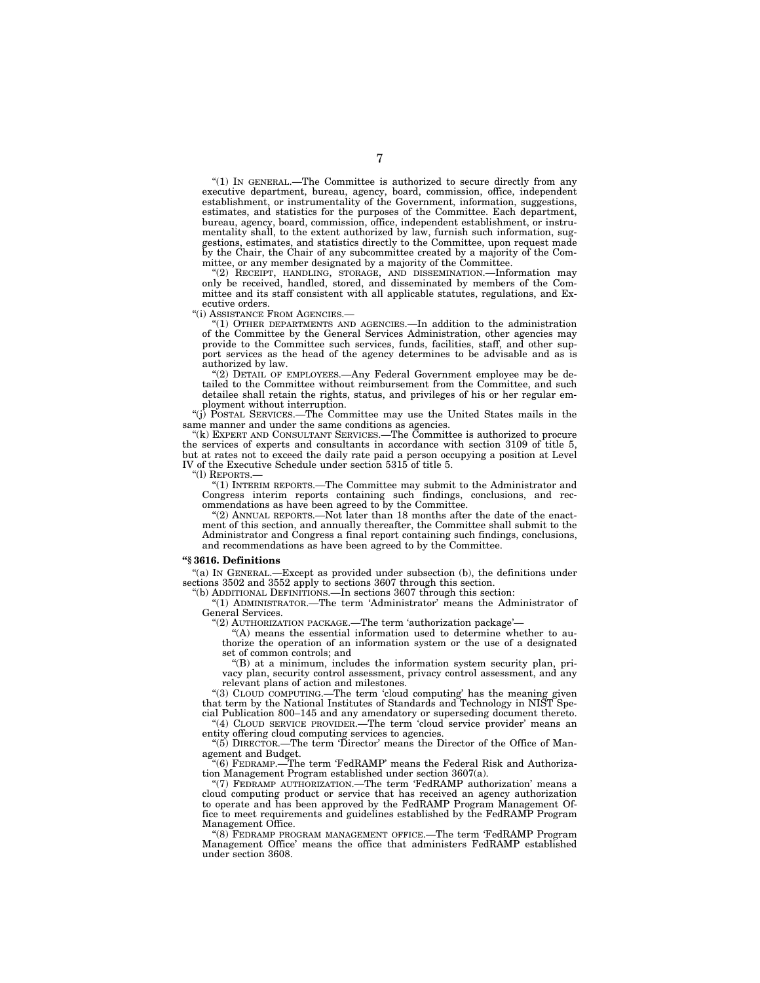"(1) IN GENERAL.—The Committee is authorized to secure directly from any executive department, bureau, agency, board, commission, office, independent establishment, or instrumentality of the Government, information, suggestions, estimates, and statistics for the purposes of the Committee. Each department, bureau, agency, board, commission, office, independent establishment, or instrumentality shall, to the extent authorized by law, furnish such information, suggestions, estimates, and statistics directly to the Committee, upon request made by the Chair, the Chair of any subcommittee created by a majority of the Committee, or any member designated by a majority of the Committee.

''(2) RECEIPT, HANDLING, STORAGE, AND DISSEMINATION.—Information may only be received, handled, stored, and disseminated by members of the Committee and its staff consistent with all applicable statutes, regulations, and Executive orders.

''(i) ASSISTANCE FROM AGENCIES.—

''(1) OTHER DEPARTMENTS AND AGENCIES.—In addition to the administration of the Committee by the General Services Administration, other agencies may provide to the Committee such services, funds, facilities, staff, and other support services as the head of the agency determines to be advisable and as is authorized by law.

''(2) DETAIL OF EMPLOYEES.—Any Federal Government employee may be detailed to the Committee without reimbursement from the Committee, and such detailee shall retain the rights, status, and privileges of his or her regular employment without interruption.

''(j) POSTAL SERVICES.—The Committee may use the United States mails in the same manner and under the same conditions as agencies.

"(k) EXPERT AND CONSULTANT SERVICES.—The Committee is authorized to procure the services of experts and consultants in accordance with section 3109 of title 5, but at rates not to exceed the daily rate paid a person occupying a position at Level IV of the Executive Schedule under section 5315 of title 5.

''(l) REPORTS.—

''(1) INTERIM REPORTS.—The Committee may submit to the Administrator and Congress interim reports containing such findings, conclusions, and recommendations as have been agreed to by the Committee.

"(2) ANNUAL REPORTS.—Not later than 18 months after the date of the enactment of this section, and annually thereafter, the Committee shall submit to the Administrator and Congress a final report containing such findings, conclusions, and recommendations as have been agreed to by the Committee.

#### **''§ 3616. Definitions**

''(a) IN GENERAL.—Except as provided under subsection (b), the definitions under sections 3502 and 3552 apply to sections 3607 through this section.

''(b) ADDITIONAL DEFINITIONS.—In sections 3607 through this section:

''(1) ADMINISTRATOR.—The term 'Administrator' means the Administrator of General Services.

''(2) AUTHORIZATION PACKAGE.—The term 'authorization package'—

''(A) means the essential information used to determine whether to authorize the operation of an information system or the use of a designated set of common controls; and

''(B) at a minimum, includes the information system security plan, privacy plan, security control assessment, privacy control assessment, and any relevant plans of action and milestones.

"(3) CLOUD COMPUTING.—The term 'cloud computing' has the meaning that term by the National Institutes of Standards and Technology in NIST Special Publication 800–145 and any amendatory or superseding document thereto.

"(4) CLOUD SERVICE PROVIDER.—The term 'cloud service provider' means an entity offering cloud computing services to agencies.

"(5) DIRECTOR.—The term 'Director' means the Director of the Office of Management and Budget.

''(6) FEDRAMP.—The term 'FedRAMP' means the Federal Risk and Authorization Management Program established under section 3607(a).

''(7) FEDRAMP AUTHORIZATION.—The term 'FedRAMP authorization' means a cloud computing product or service that has received an agency authorization to operate and has been approved by the FedRAMP Program Management Office to meet requirements and guidelines established by the FedRAMP Program Management Office.

''(8) FEDRAMP PROGRAM MANAGEMENT OFFICE.—The term 'FedRAMP Program Management Office' means the office that administers FedRAMP established under section 3608.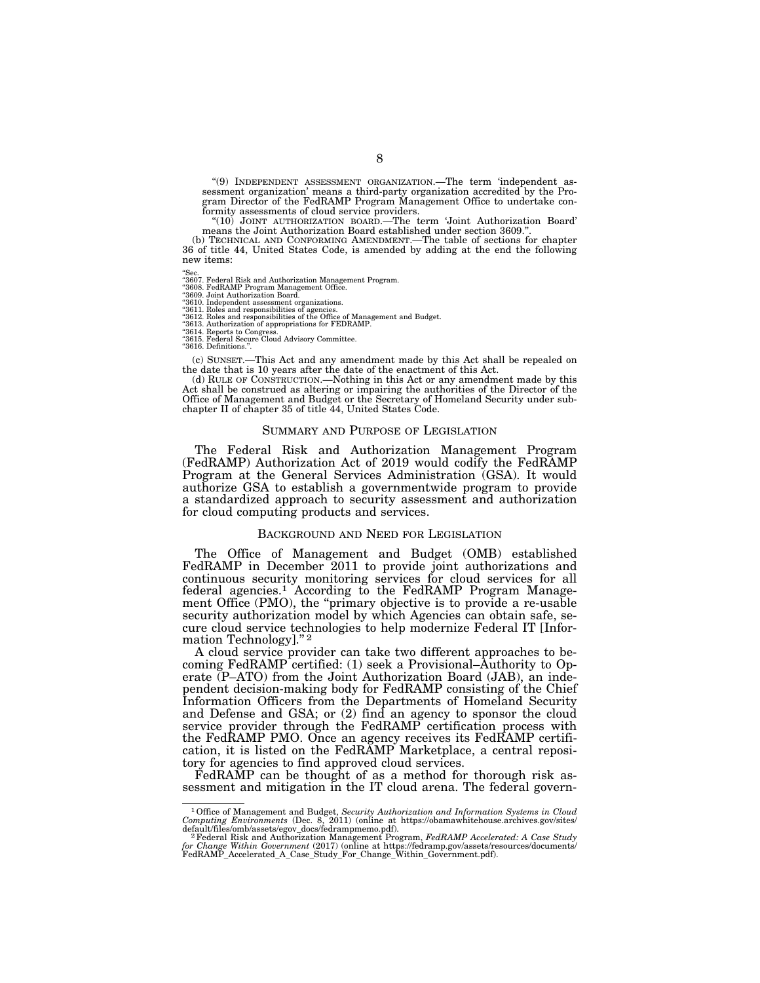''(9) INDEPENDENT ASSESSMENT ORGANIZATION.—The term 'independent assessment organization' means a third-party organization accredited by the Pro-gram Director of the FedRAMP Program Management Office to undertake con-formity assessments of cloud service providers.

"(10) JOINT AUTHORIZATION BOARD.—The term 'Joint Authorization Board' means the Joint Authorization Board established under section 3609.".<br>
(b) TECHNICAL AND CONFORMING AMENDMENT.—The table of sections for chapter

36 of title 44, United States Code, is amended by adding at the end the following new items:

''Sec. ''3607. Federal Risk and Authorization Management Program. ''3608. FedRAMP Program Management Office. ''3609. Joint Authorization Board.

''3610. Independent assessment organizations. ''3611. Roles and responsibilities of agencies. ''3612. Roles and responsibilities of the Office of Management and Budget. ''3613. Authorization of appropriations for FEDRAMP.

''3614. Reports to Congress. ''3615. Federal Secure Cloud Advisory Committee.

''3616. Definitions.''.

(c) SUNSET.—This Act and any amendment made by this Act shall be repealed on the date that is 10 years after the date of the enactment of this Act.

(d) RULE OF CONSTRUCTION.—Nothing in this Act or any amendment made by this Act shall be construed as altering or impairing the authorities of the Director of the Office of Management and Budget or the Secretary of Homeland Security under subchapter II of chapter 35 of title 44, United States Code.

## SUMMARY AND PURPOSE OF LEGISLATION

The Federal Risk and Authorization Management Program (FedRAMP) Authorization Act of 2019 would codify the FedRAMP Program at the General Services Administration (GSA). It would authorize GSA to establish a governmentwide program to provide a standardized approach to security assessment and authorization for cloud computing products and services.

#### BACKGROUND AND NEED FOR LEGISLATION

The Office of Management and Budget (OMB) established FedRAMP in December 2011 to provide joint authorizations and continuous security monitoring services for cloud services for all federal agencies.1 According to the FedRAMP Program Management Office (PMO), the "primary objective is to provide a re-usable security authorization model by which Agencies can obtain safe, secure cloud service technologies to help modernize Federal IT [Information Technology]."<sup>2</sup>

A cloud service provider can take two different approaches to becoming FedRAMP certified: (1) seek a Provisional–Authority to Operate (P–ATO) from the Joint Authorization Board (JAB), an independent decision-making body for FedRAMP consisting of the Chief Information Officers from the Departments of Homeland Security and Defense and GSA; or (2) find an agency to sponsor the cloud service provider through the FedRAMP certification process with the FedRAMP PMO. Once an agency receives its FedRAMP certification, it is listed on the FedRAMP Marketplace, a central repository for agencies to find approved cloud services.

FedRAMP can be thought of as a method for thorough risk assessment and mitigation in the IT cloud arena. The federal govern-

<sup>1</sup>Office of Management and Budget, *Security Authorization and Information Systems in Cloud Computing Environments* (Dec. 8, 2011) (online at https://obamawhitehouse.archives.gov/sites/

default/files/omb/assets/egov\_docs/fedrampmemo.pdf).<br><sup>2</sup> Federal Risk and Authorization Management Program, *FedRAMP Accelerated: A Case Study*<br>for *Change Within Government* (2017) (online at https://fedramp.gov/assets/re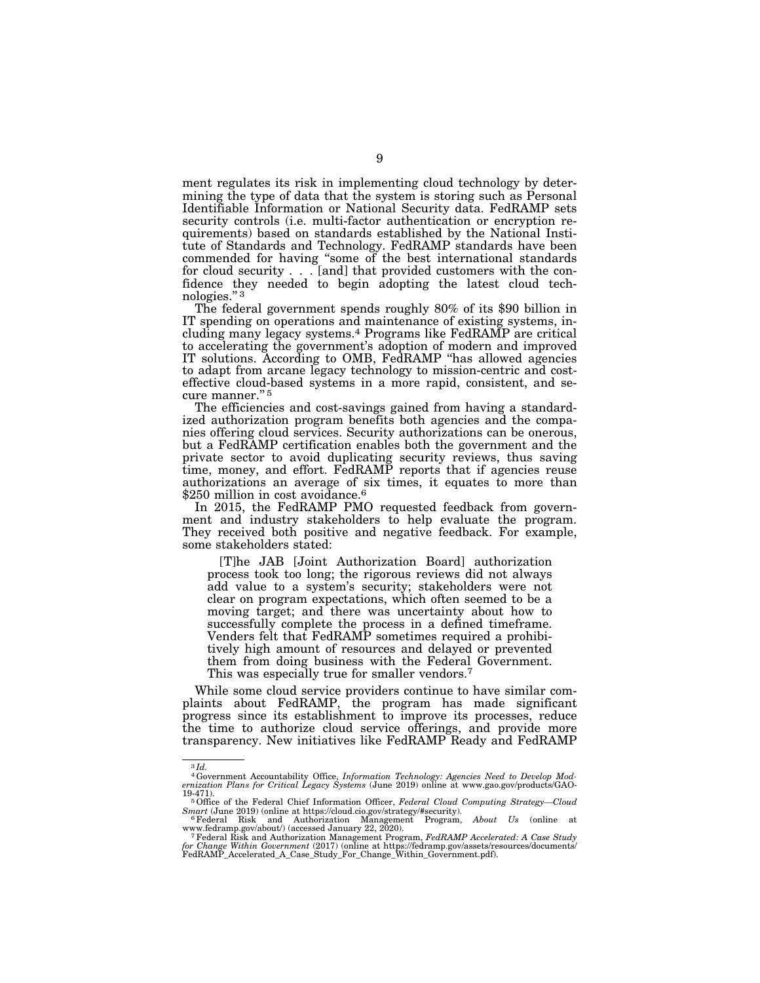ment regulates its risk in implementing cloud technology by determining the type of data that the system is storing such as Personal Identifiable Information or National Security data. FedRAMP sets security controls (i.e. multi-factor authentication or encryption requirements) based on standards established by the National Institute of Standards and Technology. FedRAMP standards have been commended for having ''some of the best international standards for cloud security . . . [and] that provided customers with the confidence they needed to begin adopting the latest cloud technologies.'' 3

The federal government spends roughly 80% of its \$90 billion in IT spending on operations and maintenance of existing systems, including many legacy systems.4 Programs like FedRAMP are critical to accelerating the government's adoption of modern and improved IT solutions. According to OMB, FedRAMP ''has allowed agencies to adapt from arcane legacy technology to mission-centric and costeffective cloud-based systems in a more rapid, consistent, and secure manner."<sup>5</sup>

The efficiencies and cost-savings gained from having a standardized authorization program benefits both agencies and the companies offering cloud services. Security authorizations can be onerous, but a FedRAMP certification enables both the government and the private sector to avoid duplicating security reviews, thus saving time, money, and effort. FedRAMP reports that if agencies reuse authorizations an average of six times, it equates to more than \$250 million in cost avoidance.<sup>6</sup>

In 2015, the FedRAMP PMO requested feedback from government and industry stakeholders to help evaluate the program. They received both positive and negative feedback. For example, some stakeholders stated:

[T]he JAB [Joint Authorization Board] authorization process took too long; the rigorous reviews did not always add value to a system's security; stakeholders were not clear on program expectations, which often seemed to be a moving target; and there was uncertainty about how to successfully complete the process in a defined timeframe. Venders felt that FedRAMP sometimes required a prohibitively high amount of resources and delayed or prevented them from doing business with the Federal Government. This was especially true for smaller vendors.7

While some cloud service providers continue to have similar complaints about FedRAMP, the program has made significant progress since its establishment to improve its processes, reduce the time to authorize cloud service offerings, and provide more transparency. New initiatives like FedRAMP Ready and FedRAMP

3 *Id.* 

<sup>4</sup>Government Accountability Office, *Information Technology: Agencies Need to Develop Modernization Plans for Critical Legacy Systems* (June 2019) online at www.gao.gov/products/GAO-

<sup>19-471). 5</sup>Office of the Federal Chief Information Officer, *Federal Cloud Computing Strategy—Cloud* 

*Smart* (June 2019) (online at https://cloud.cio.gov/strategy/#security).<br>
<sup>6</sup>Federal Risk and Authorization Management Program, *About Us* (online at www.fedramp.gov/about/) (accessed January 22, 2020).

www.fedramp.gov/about/) (accessed January 22, 2020).<br><sup>7</sup> Federal Risk and Authorization Management Program, *FedRAMP Accelerated: A Case Study*<br>f*or Change Within Government* (2017) (online at https://fedramp.gov/assets/re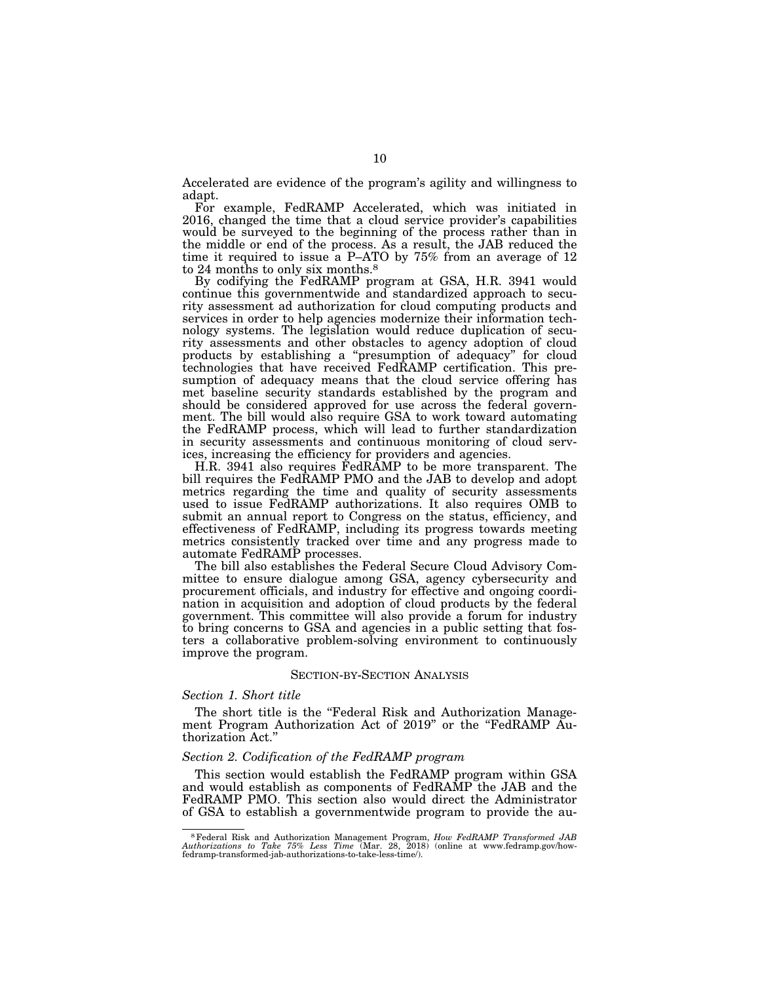Accelerated are evidence of the program's agility and willingness to adapt.

For example, FedRAMP Accelerated, which was initiated in 2016, changed the time that a cloud service provider's capabilities would be surveyed to the beginning of the process rather than in the middle or end of the process. As a result, the JAB reduced the time it required to issue a P–ATO by 75% from an average of 12 to 24 months to only six months.8

By codifying the FedRAMP program at GSA, H.R. 3941 would continue this governmentwide and standardized approach to security assessment ad authorization for cloud computing products and services in order to help agencies modernize their information technology systems. The legislation would reduce duplication of security assessments and other obstacles to agency adoption of cloud products by establishing a ''presumption of adequacy'' for cloud technologies that have received FedRAMP certification. This presumption of adequacy means that the cloud service offering has met baseline security standards established by the program and should be considered approved for use across the federal government. The bill would also require GSA to work toward automating the FedRAMP process, which will lead to further standardization in security assessments and continuous monitoring of cloud services, increasing the efficiency for providers and agencies.

H.R. 3941 also requires FedRAMP to be more transparent. The bill requires the FedRAMP PMO and the JAB to develop and adopt metrics regarding the time and quality of security assessments used to issue FedRAMP authorizations. It also requires OMB to submit an annual report to Congress on the status, efficiency, and effectiveness of FedRAMP, including its progress towards meeting metrics consistently tracked over time and any progress made to automate FedRAMP processes.

The bill also establishes the Federal Secure Cloud Advisory Committee to ensure dialogue among GSA, agency cybersecurity and procurement officials, and industry for effective and ongoing coordination in acquisition and adoption of cloud products by the federal government. This committee will also provide a forum for industry to bring concerns to GSA and agencies in a public setting that fosters a collaborative problem-solving environment to continuously improve the program.

## SECTION-BY-SECTION ANALYSIS

## *Section 1. Short title*

The short title is the "Federal Risk and Authorization Management Program Authorization Act of 2019" or the "FedRAMP Authorization Act.''

## *Section 2. Codification of the FedRAMP program*

This section would establish the FedRAMP program within GSA and would establish as components of FedRAMP the JAB and the FedRAMP PMO. This section also would direct the Administrator of GSA to establish a governmentwide program to provide the au-

 $^8$  Federal Risk and Authorization Management Program,  $How\,\,FedRAMP$   $Transformed\,\,JAB$   $Authorizations\,\,to\,\,Take\,\,75\%$   $Les\,\,Time\,\, (Mar.\,\,28,\,\,2018)$  (online at www.fedramp.gov/how-fedramp-transformed-jab-authorizations-to-take-less-time/).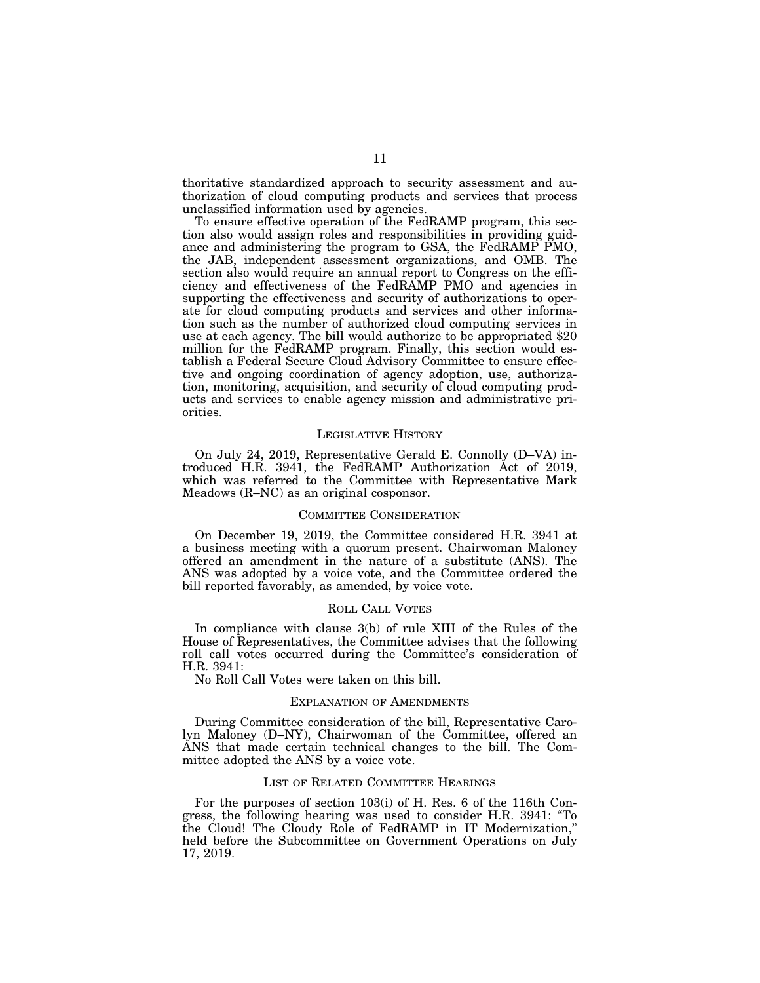thoritative standardized approach to security assessment and authorization of cloud computing products and services that process unclassified information used by agencies.

To ensure effective operation of the FedRAMP program, this section also would assign roles and responsibilities in providing guidance and administering the program to GSA, the FedRAMP PMO, the JAB, independent assessment organizations, and OMB. The section also would require an annual report to Congress on the efficiency and effectiveness of the FedRAMP PMO and agencies in supporting the effectiveness and security of authorizations to operate for cloud computing products and services and other information such as the number of authorized cloud computing services in use at each agency. The bill would authorize to be appropriated \$20 million for the FedRAMP program. Finally, this section would establish a Federal Secure Cloud Advisory Committee to ensure effective and ongoing coordination of agency adoption, use, authorization, monitoring, acquisition, and security of cloud computing products and services to enable agency mission and administrative priorities.

#### LEGISLATIVE HISTORY

On July 24, 2019, Representative Gerald E. Connolly (D–VA) introduced H.R. 3941, the FedRAMP Authorization Act of 2019, which was referred to the Committee with Representative Mark Meadows (R–NC) as an original cosponsor.

#### COMMITTEE CONSIDERATION

On December 19, 2019, the Committee considered H.R. 3941 at a business meeting with a quorum present. Chairwoman Maloney offered an amendment in the nature of a substitute (ANS). The ANS was adopted by a voice vote, and the Committee ordered the bill reported favorably, as amended, by voice vote.

## ROLL CALL VOTES

In compliance with clause 3(b) of rule XIII of the Rules of the House of Representatives, the Committee advises that the following roll call votes occurred during the Committee's consideration of H.R. 3941:

No Roll Call Votes were taken on this bill.

## EXPLANATION OF AMENDMENTS

During Committee consideration of the bill, Representative Carolyn Maloney (D–NY), Chairwoman of the Committee, offered an ANS that made certain technical changes to the bill. The Committee adopted the ANS by a voice vote.

#### LIST OF RELATED COMMITTEE HEARINGS

For the purposes of section 103(i) of H. Res. 6 of the 116th Congress, the following hearing was used to consider H.R. 3941: ''To the Cloud! The Cloudy Role of FedRAMP in IT Modernization,'' held before the Subcommittee on Government Operations on July 17, 2019.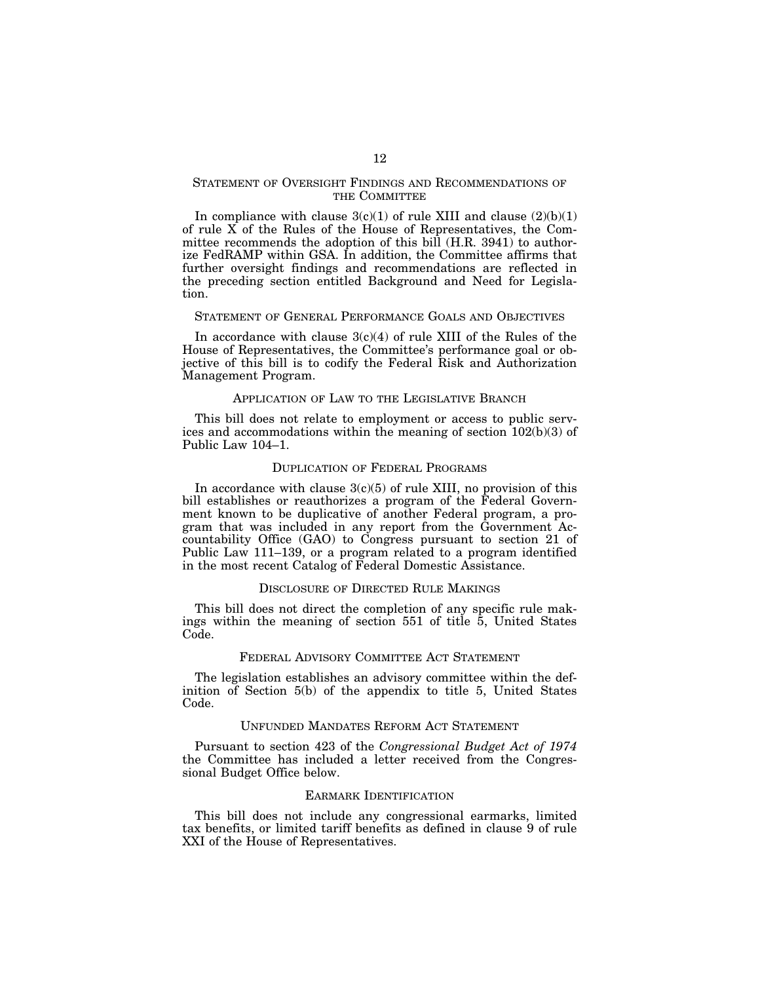## STATEMENT OF OVERSIGHT FINDINGS AND RECOMMENDATIONS OF THE COMMITTEE

In compliance with clause  $3(c)(1)$  of rule XIII and clause  $(2)(b)(1)$ of rule X of the Rules of the House of Representatives, the Committee recommends the adoption of this bill (H.R. 3941) to authorize FedRAMP within GSA. In addition, the Committee affirms that further oversight findings and recommendations are reflected in the preceding section entitled Background and Need for Legislation.

## STATEMENT OF GENERAL PERFORMANCE GOALS AND OBJECTIVES

In accordance with clause  $3(c)(4)$  of rule XIII of the Rules of the House of Representatives, the Committee's performance goal or objective of this bill is to codify the Federal Risk and Authorization Management Program.

## APPLICATION OF LAW TO THE LEGISLATIVE BRANCH

This bill does not relate to employment or access to public services and accommodations within the meaning of section 102(b)(3) of Public Law 104–1.

## DUPLICATION OF FEDERAL PROGRAMS

In accordance with clause  $3(c)(5)$  of rule XIII, no provision of this bill establishes or reauthorizes a program of the Federal Government known to be duplicative of another Federal program, a program that was included in any report from the Government Accountability Office (GAO) to Congress pursuant to section 21 of Public Law 111–139, or a program related to a program identified in the most recent Catalog of Federal Domestic Assistance.

## DISCLOSURE OF DIRECTED RULE MAKINGS

This bill does not direct the completion of any specific rule makings within the meaning of section 551 of title 5, United States Code.

## FEDERAL ADVISORY COMMITTEE ACT STATEMENT

The legislation establishes an advisory committee within the definition of Section 5(b) of the appendix to title 5, United States Code.

## UNFUNDED MANDATES REFORM ACT STATEMENT

Pursuant to section 423 of the *Congressional Budget Act of 1974*  the Committee has included a letter received from the Congressional Budget Office below.

## EARMARK IDENTIFICATION

This bill does not include any congressional earmarks, limited tax benefits, or limited tariff benefits as defined in clause 9 of rule XXI of the House of Representatives.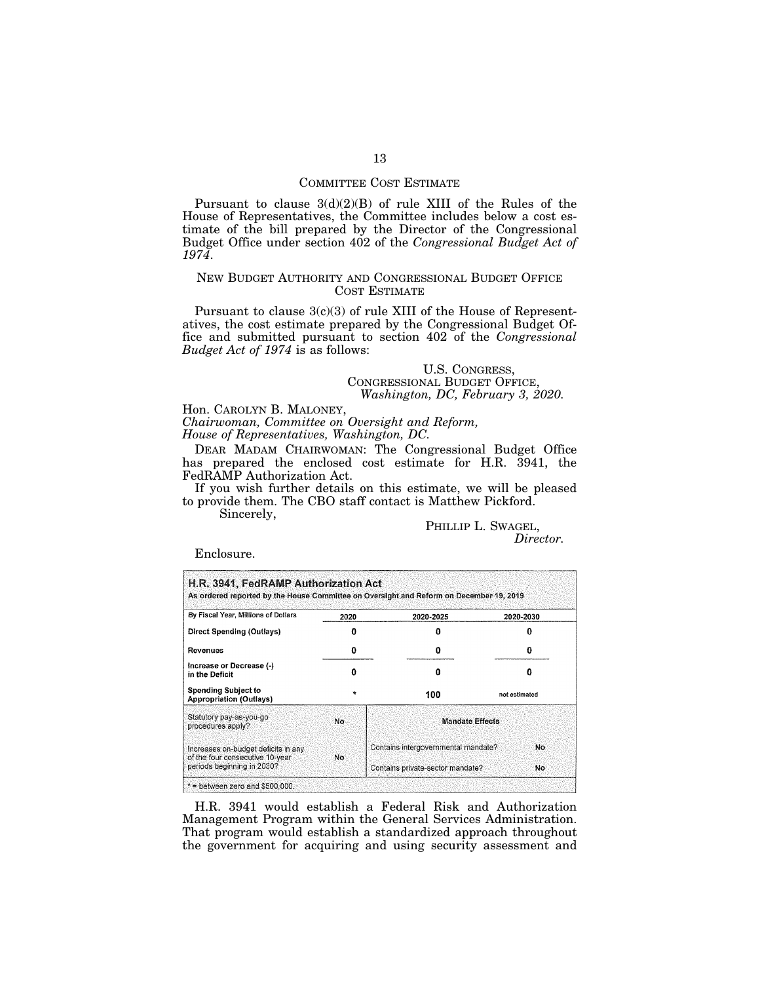## COMMITTEE COST ESTIMATE

Pursuant to clause 3(d)(2)(B) of rule XIII of the Rules of the House of Representatives, the Committee includes below a cost estimate of the bill prepared by the Director of the Congressional Budget Office under section 402 of the *Congressional Budget Act of 1974*.

## NEW BUDGET AUTHORITY AND CONGRESSIONAL BUDGET OFFICE COST ESTIMATE

Pursuant to clause  $3(c)(3)$  of rule XIII of the House of Representatives, the cost estimate prepared by the Congressional Budget Office and submitted pursuant to section 402 of the *Congressional Budget Act of 1974* is as follows:

## U.S. CONGRESS, CONGRESSIONAL BUDGET OFFICE, *Washington, DC, February 3, 2020.*

Hon. CAROLYN B. MALONEY, *Chairwoman, Committee on Oversight and Reform,* 

*House of Representatives, Washington, DC.* 

DEAR MADAM CHAIRWOMAN: The Congressional Budget Office has prepared the enclosed cost estimate for H.R. 3941, the FedRAMP Authorization Act.

If you wish further details on this estimate, we will be pleased to provide them. The CBO staff contact is Matthew Pickford.

Sincerely,

PHILLIP L. SWAGEL, *Director.* 

Enclosure.

| By Fiscal Year, Millions of Dollars                                    | 2020-2025<br>2020 |                                     | 2020-2030          |  |  |  |
|------------------------------------------------------------------------|-------------------|-------------------------------------|--------------------|--|--|--|
| Direct Spending (Outlays)                                              |                   | п                                   |                    |  |  |  |
| Revenues                                                               | 0                 | 0                                   |                    |  |  |  |
| Increase or Decrease (-)<br>in the Deficit                             | Ω                 | o                                   | n<br>not estimated |  |  |  |
| <b>Spending Subject to</b><br><b>Appropriation (Outlays)</b>           | $\bullet$         | 100                                 |                    |  |  |  |
| Statutory pay-as-you-go<br>procedures apply?                           | No                | <b>Mandate Effects</b>              |                    |  |  |  |
| Increases on-budget deficits in any<br>of the four consecutive 10-year | No.               | Contains intergovernmental mandate? | No.                |  |  |  |
| periods beginning in 2030?                                             |                   | Contains private-sector mandate?    | No                 |  |  |  |

H.R. 3941 would establish a Federal Risk and Authorization Management Program within the General Services Administration. That program would establish a standardized approach throughout the government for acquiring and using security assessment and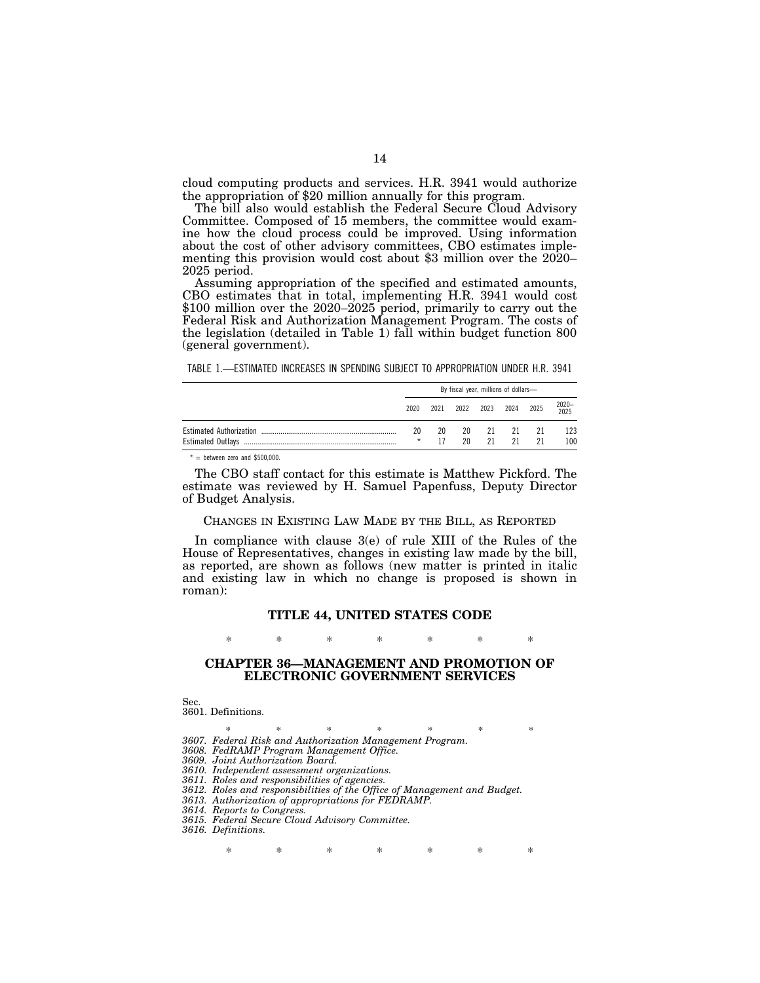cloud computing products and services. H.R. 3941 would authorize the appropriation of \$20 million annually for this program.

The bill also would establish the Federal Secure Cloud Advisory Committee. Composed of 15 members, the committee would examine how the cloud process could be improved. Using information about the cost of other advisory committees, CBO estimates implementing this provision would cost about \$3 million over the 2020– 2025 period.

Assuming appropriation of the specified and estimated amounts, CBO estimates that in total, implementing H.R. 3941 would cost \$100 million over the 2020–2025 period, primarily to carry out the Federal Risk and Authorization Management Program. The costs of the legislation (detailed in Table 1) fall within budget function 800 (general government).

TABLE 1.—ESTIMATED INCREASES IN SPENDING SUBJECT TO APPROPRIATION UNDER H.R. 3941

| By fiscal year, millions of dollars- |      |    |    |                     |     |               |  |
|--------------------------------------|------|----|----|---------------------|-----|---------------|--|
| 2020                                 | 2021 |    |    | 2022 2023 2024 2025 |     | 2020-<br>2025 |  |
| 20                                   | 20   | 20 | 21 | 21                  | -21 | 123           |  |
| $\star$                              |      | 20 | 21 | 21                  | 21  | 100           |  |

 $* =$  between zero and \$500,000.

The CBO staff contact for this estimate is Matthew Pickford. The estimate was reviewed by H. Samuel Papenfuss, Deputy Director of Budget Analysis.

## CHANGES IN EXISTING LAW MADE BY THE BILL, AS REPORTED

In compliance with clause 3(e) of rule XIII of the Rules of the House of Representatives, changes in existing law made by the bill, as reported, are shown as follows (new matter is printed in italic and existing law in which no change is proposed is shown in roman):

## **TITLE 44, UNITED STATES CODE**

\* \* \* \* \* \* \*

## **CHAPTER 36—MANAGEMENT AND PROMOTION OF ELECTRONIC GOVERNMENT SERVICES**

Sec. 3601. Definitions.

\* \* \* \* \* \* \* \* *3607. Federal Risk and Authorization Management Program. 3608. FedRAMP Program Management Office. 3609. Joint Authorization Board.* 

*3610. Independent assessment organizations.* 

*3611. Roles and responsibilities of agencies.* 

*3612. Roles and responsibilities of the Office of Management and Budget.* 

*3613. Authorization of appropriations for FEDRAMP.* 

*3614. Reports to Congress.* 

*3615. Federal Secure Cloud Advisory Committee. 3616. Definitions.* 

\* \* \* \* \* \* \*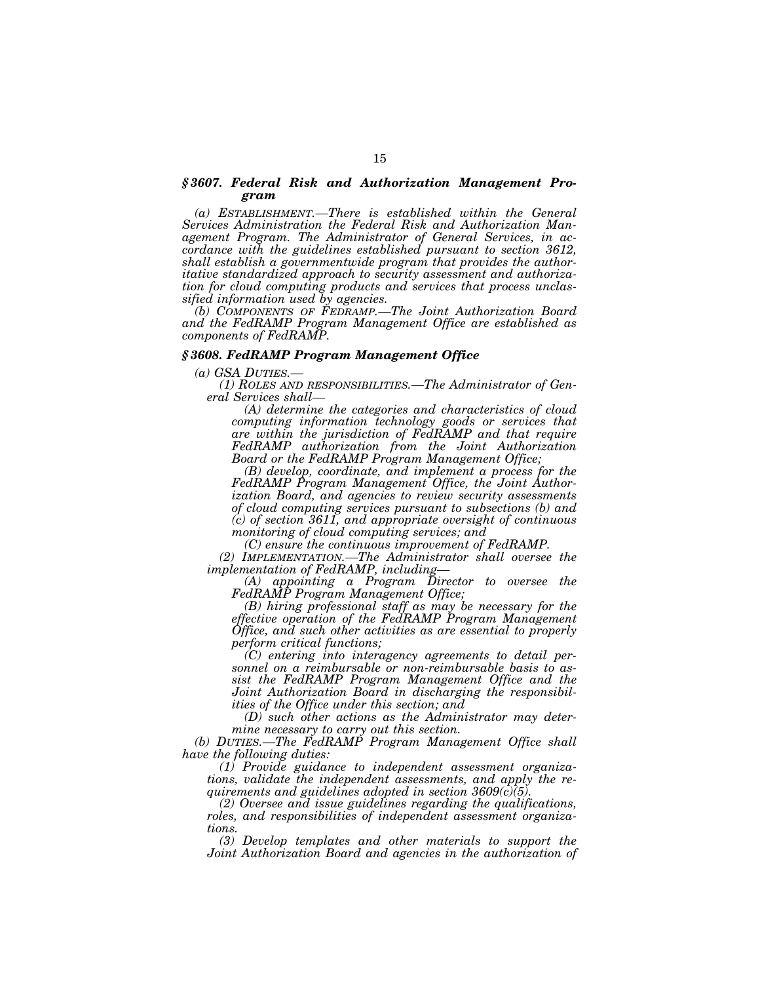## *§ 3607. Federal Risk and Authorization Management Program*

*(a) ESTABLISHMENT.—There is established within the General Services Administration the Federal Risk and Authorization Management Program. The Administrator of General Services, in accordance with the guidelines established pursuant to section 3612, shall establish a governmentwide program that provides the authoritative standardized approach to security assessment and authorization for cloud computing products and services that process unclassified information used by agencies.* 

*(b) COMPONENTS OF FEDRAMP.—The Joint Authorization Board and the FedRAMP Program Management Office are established as components of FedRAMP.* 

## *§ 3608. FedRAMP Program Management Office*

*(a) GSA DUTIES.— (1) ROLES AND RESPONSIBILITIES.—The Administrator of General Services shall—* 

*(A) determine the categories and characteristics of cloud computing information technology goods or services that are within the jurisdiction of FedRAMP and that require FedRAMP authorization from the Joint Authorization Board or the FedRAMP Program Management Office;* 

*(B) develop, coordinate, and implement a process for the FedRAMP Program Management Office, the Joint Authorization Board, and agencies to review security assessments of cloud computing services pursuant to subsections (b) and (c) of section 3611, and appropriate oversight of continuous monitoring of cloud computing services; and* 

*(C) ensure the continuous improvement of FedRAMP.* 

*(2) IMPLEMENTATION.—The Administrator shall oversee the implementation of FedRAMP, including—* 

*(A) appointing a Program Director to oversee the FedRAMP Program Management Office;* 

*(B) hiring professional staff as may be necessary for the effective operation of the FedRAMP Program Management Office, and such other activities as are essential to properly perform critical functions;* 

*(C) entering into interagency agreements to detail personnel on a reimbursable or non-reimbursable basis to assist the FedRAMP Program Management Office and the Joint Authorization Board in discharging the responsibilities of the Office under this section; and* 

*(D) such other actions as the Administrator may determine necessary to carry out this section.* 

*(b) DUTIES.—The FedRAMP Program Management Office shall have the following duties:* 

*(1) Provide guidance to independent assessment organizations, validate the independent assessments, and apply the requirements and guidelines adopted in section 3609(c)(5).* 

*(2) Oversee and issue guidelines regarding the qualifications, roles, and responsibilities of independent assessment organizations.* 

*(3) Develop templates and other materials to support the Joint Authorization Board and agencies in the authorization of*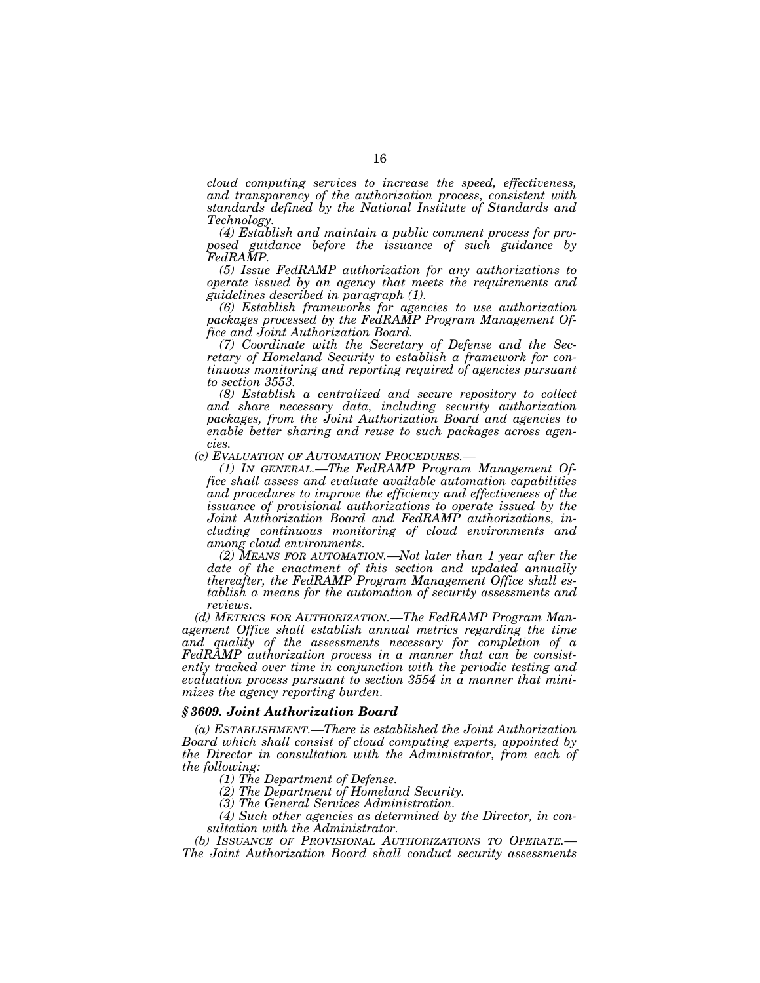*cloud computing services to increase the speed, effectiveness, and transparency of the authorization process, consistent with standards defined by the National Institute of Standards and Technology.* 

*(4) Establish and maintain a public comment process for proposed guidance before the issuance of such guidance by FedRAMP.* 

*(5) Issue FedRAMP authorization for any authorizations to operate issued by an agency that meets the requirements and guidelines described in paragraph (1).* 

*(6) Establish frameworks for agencies to use authorization packages processed by the FedRAMP Program Management Office and Joint Authorization Board.* 

*(7) Coordinate with the Secretary of Defense and the Secretary of Homeland Security to establish a framework for continuous monitoring and reporting required of agencies pursuant to section 3553.* 

*(8) Establish a centralized and secure repository to collect and share necessary data, including security authorization packages, from the Joint Authorization Board and agencies to enable better sharing and reuse to such packages across agen-*

*cies.*<br>*(c) EVALUATION OF AUTOMATION PROCEDURES.*—

*(1) In GENERAL.—The FedRAMP Program Management Office shall assess and evaluate available automation capabilities and procedures to improve the efficiency and effectiveness of the issuance of provisional authorizations to operate issued by the Joint Authorization Board and FedRAMP authorizations, including continuous monitoring of cloud environments and among cloud environments.* 

*(2) MEANS FOR AUTOMATION.—Not later than 1 year after the date of the enactment of this section and updated annually thereafter, the FedRAMP Program Management Office shall establish a means for the automation of security assessments and reviews.* 

*(d) METRICS FOR AUTHORIZATION.—The FedRAMP Program Man*agement Office shall establish annual metrics regarding the time *and quality of the assessments necessary for completion of a FedRAMP authorization process in a manner that can be consistently tracked over time in conjunction with the periodic testing and evaluation process pursuant to section 3554 in a manner that minimizes the agency reporting burden.* 

#### *§ 3609. Joint Authorization Board*

*(a) ESTABLISHMENT.—There is established the Joint Authorization Board which shall consist of cloud computing experts, appointed by the Director in consultation with the Administrator, from each of the following:* 

*(1) The Department of Defense.* 

*(2) The Department of Homeland Security.* 

*(3) The General Services Administration.* 

*(4) Such other agencies as determined by the Director, in consultation with the Administrator.* 

*(b) ISSUANCE OF PROVISIONAL AUTHORIZATIONS TO OPERATE.— The Joint Authorization Board shall conduct security assessments*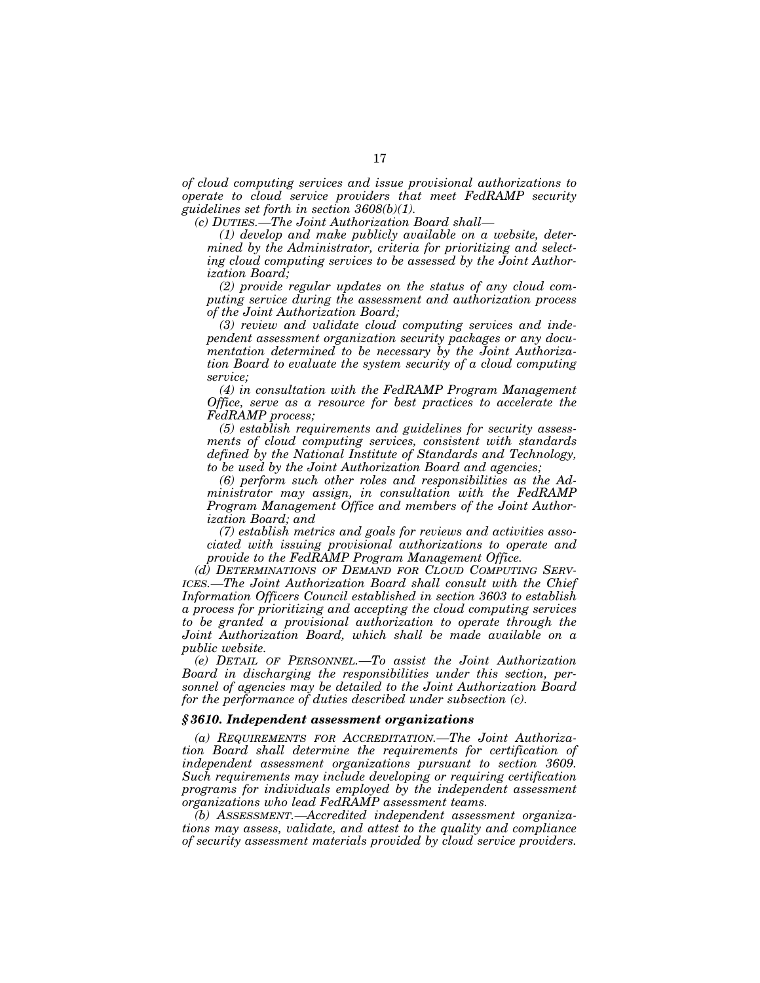*of cloud computing services and issue provisional authorizations to operate to cloud service providers that meet FedRAMP security guidelines set forth in section 3608(b)(1).* 

*(c) DUTIES.—The Joint Authorization Board shall—* 

*(1) develop and make publicly available on a website, determined by the Administrator, criteria for prioritizing and selecting cloud computing services to be assessed by the Joint Authorization Board;* 

*(2) provide regular updates on the status of any cloud computing service during the assessment and authorization process of the Joint Authorization Board;* 

*(3) review and validate cloud computing services and independent assessment organization security packages or any documentation determined to be necessary by the Joint Authorization Board to evaluate the system security of a cloud computing service;* 

*(4) in consultation with the FedRAMP Program Management Office, serve as a resource for best practices to accelerate the FedRAMP process;* 

*(5) establish requirements and guidelines for security assessments of cloud computing services, consistent with standards defined by the National Institute of Standards and Technology, to be used by the Joint Authorization Board and agencies;* 

*(6) perform such other roles and responsibilities as the Administrator may assign, in consultation with the FedRAMP Program Management Office and members of the Joint Authorization Board; and* 

*(7) establish metrics and goals for reviews and activities associated with issuing provisional authorizations to operate and provide to the FedRAMP Program Management Office.* 

*(d) DETERMINATIONS OF DEMAND FOR CLOUD COMPUTING SERV-ICES.—The Joint Authorization Board shall consult with the Chief Information Officers Council established in section 3603 to establish a process for prioritizing and accepting the cloud computing services to be granted a provisional authorization to operate through the Joint Authorization Board, which shall be made available on a public website.* 

*(e) DETAIL OF PERSONNEL.—To assist the Joint Authorization Board in discharging the responsibilities under this section, personnel of agencies may be detailed to the Joint Authorization Board for the performance of duties described under subsection (c).* 

## *§ 3610. Independent assessment organizations*

*(a) REQUIREMENTS FOR ACCREDITATION.—The Joint Authorization Board shall determine the requirements for certification of independent assessment organizations pursuant to section 3609. Such requirements may include developing or requiring certification programs for individuals employed by the independent assessment organizations who lead FedRAMP assessment teams.* 

*(b) ASSESSMENT.—Accredited independent assessment organizations may assess, validate, and attest to the quality and compliance of security assessment materials provided by cloud service providers.*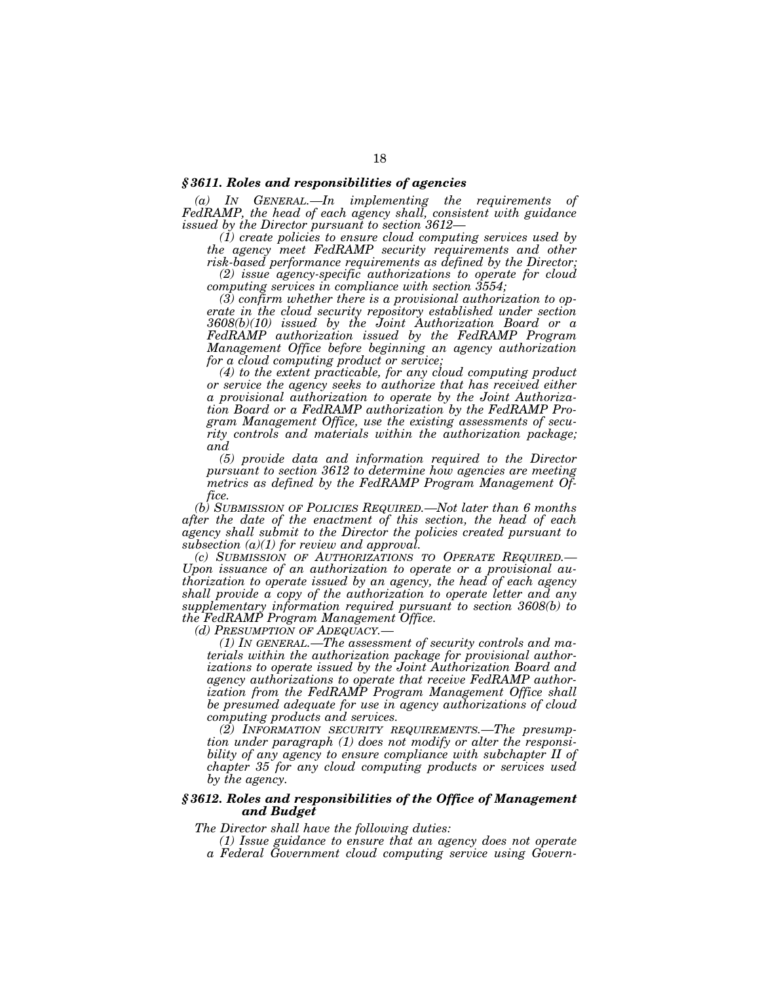## *§ 3611. Roles and responsibilities of agencies*

*(a) IN GENERAL.—In implementing the requirements of FedRAMP, the head of each agency shall, consistent with guidance issued by the Director pursuant to section 3612—* 

*(1) create policies to ensure cloud computing services used by the agency meet FedRAMP security requirements and other risk-based performance requirements as defined by the Director;* 

*(2) issue agency-specific authorizations to operate for cloud computing services in compliance with section 3554;* 

*(3) confirm whether there is a provisional authorization to operate in the cloud security repository established under section 3608(b)(10) issued by the Joint Authorization Board or a FedRAMP authorization issued by the FedRAMP Program Management Office before beginning an agency authorization for a cloud computing product or service;* 

*(4) to the extent practicable, for any cloud computing product or service the agency seeks to authorize that has received either a provisional authorization to operate by the Joint Authorization Board or a FedRAMP authorization by the FedRAMP Program Management Office, use the existing assessments of security controls and materials within the authorization package; and* 

*(5) provide data and information required to the Director pursuant to section 3612 to determine how agencies are meeting metrics as defined by the FedRAMP Program Management Office.* 

*(b) SUBMISSION OF POLICIES REQUIRED.—Not later than 6 months after the date of the enactment of this section, the head of each agency shall submit to the Director the policies created pursuant to subsection (a)(1) for review and approval.* 

*Upon issuance of an authorization to operate or a provisional authorization to operate issued by an agency, the head of each agency shall provide a copy of the authorization to operate letter and any supplementary information required pursuant to section 3608(b) to the FedRAMP Program Management Office.* 

*(d) PRESUMPTION OF ADEQUACY.— (1) IN GENERAL.—The assessment of security controls and materials within the authorization package for provisional authorizations to operate issued by the Joint Authorization Board and agency authorizations to operate that receive FedRAMP authorization from the FedRAMP Program Management Office shall be presumed adequate for use in agency authorizations of cloud computing products and services.* 

*(2) INFORMATION SECURITY REQUIREMENTS.—The presumption under paragraph (1) does not modify or alter the responsibility of any agency to ensure compliance with subchapter II of chapter 35 for any cloud computing products or services used by the agency.* 

## *§ 3612. Roles and responsibilities of the Office of Management and Budget*

*The Director shall have the following duties:* 

*(1) Issue guidance to ensure that an agency does not operate a Federal Government cloud computing service using Govern-*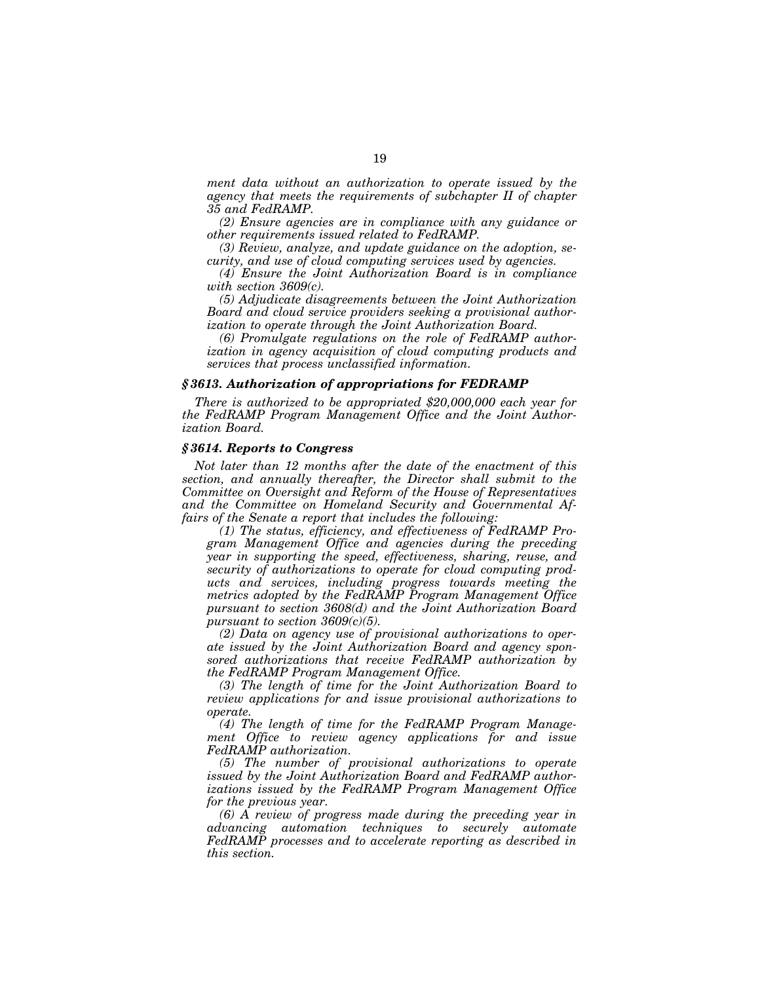*ment data without an authorization to operate issued by the agency that meets the requirements of subchapter II of chapter 35 and FedRAMP.* 

*(2) Ensure agencies are in compliance with any guidance or other requirements issued related to FedRAMP.* 

*(3) Review, analyze, and update guidance on the adoption, security, and use of cloud computing services used by agencies.* 

*(4) Ensure the Joint Authorization Board is in compliance with section 3609(c).* 

*(5) Adjudicate disagreements between the Joint Authorization Board and cloud service providers seeking a provisional authorization to operate through the Joint Authorization Board.* 

*(6) Promulgate regulations on the role of FedRAMP authorization in agency acquisition of cloud computing products and services that process unclassified information.* 

## *§ 3613. Authorization of appropriations for FEDRAMP*

*There is authorized to be appropriated \$20,000,000 each year for the FedRAMP Program Management Office and the Joint Authorization Board.* 

## *§ 3614. Reports to Congress*

*Not later than 12 months after the date of the enactment of this section, and annually thereafter, the Director shall submit to the Committee on Oversight and Reform of the House of Representatives and the Committee on Homeland Security and Governmental Affairs of the Senate a report that includes the following:* 

*(1) The status, efficiency, and effectiveness of FedRAMP Program Management Office and agencies during the preceding year in supporting the speed, effectiveness, sharing, reuse, and security of authorizations to operate for cloud computing products and services, including progress towards meeting the metrics adopted by the FedRAMP Program Management Office pursuant to section 3608(d) and the Joint Authorization Board pursuant to section 3609(c)(5).* 

*(2) Data on agency use of provisional authorizations to operate issued by the Joint Authorization Board and agency sponsored authorizations that receive FedRAMP authorization by the FedRAMP Program Management Office.* 

*(3) The length of time for the Joint Authorization Board to review applications for and issue provisional authorizations to operate.* 

*(4) The length of time for the FedRAMP Program Management Office to review agency applications for and issue FedRAMP authorization.* 

*(5) The number of provisional authorizations to operate issued by the Joint Authorization Board and FedRAMP authorizations issued by the FedRAMP Program Management Office for the previous year.* 

*(6) A review of progress made during the preceding year in advancing automation techniques to securely automate FedRAMP processes and to accelerate reporting as described in this section.*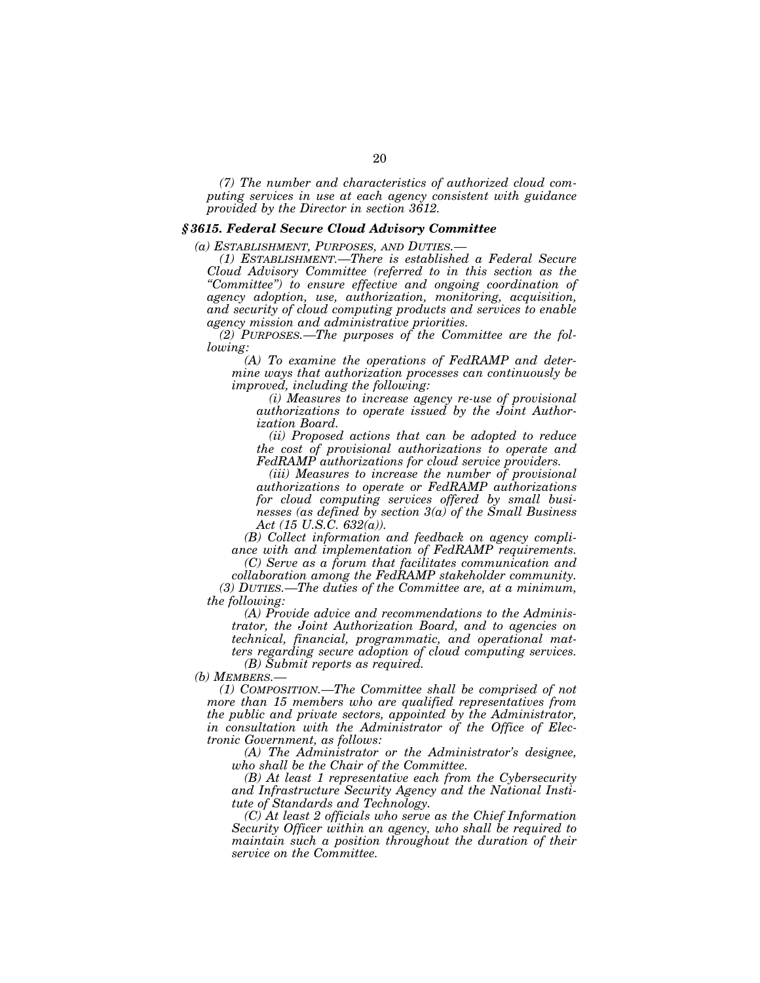*(7) The number and characteristics of authorized cloud computing services in use at each agency consistent with guidance provided by the Director in section 3612.* 

## *§ 3615. Federal Secure Cloud Advisory Committee*

*(a) ESTABLISHMENT, PURPOSES, AND DUTIES.—* 

*(1) ESTABLISHMENT.—There is established a Federal Secure Cloud Advisory Committee (referred to in this section as the ''Committee'') to ensure effective and ongoing coordination of agency adoption, use, authorization, monitoring, acquisition, and security of cloud computing products and services to enable agency mission and administrative priorities.* 

*(2) PURPOSES.—The purposes of the Committee are the following:* 

*(A) To examine the operations of FedRAMP and determine ways that authorization processes can continuously be improved, including the following:* 

*(i) Measures to increase agency re-use of provisional authorizations to operate issued by the Joint Authorization Board.* 

*(ii) Proposed actions that can be adopted to reduce the cost of provisional authorizations to operate and FedRAMP authorizations for cloud service providers.* 

*(iii) Measures to increase the number of provisional authorizations to operate or FedRAMP authorizations for cloud computing services offered by small businesses (as defined by section 3(a) of the Small Business Act (15 U.S.C. 632(a)).* 

*(B) Collect information and feedback on agency compliance with and implementation of FedRAMP requirements.* 

*(C) Serve as a forum that facilitates communication and collaboration among the FedRAMP stakeholder community. (3) DUTIES.—The duties of the Committee are, at a minimum, the following:* 

*(A) Provide advice and recommendations to the Administrator, the Joint Authorization Board, and to agencies on technical, financial, programmatic, and operational matters regarding secure adoption of cloud computing services.* 

*(B) Submit reports as required.* 

*(b) MEMBERS.—* 

*(1) COMPOSITION.—The Committee shall be comprised of not more than 15 members who are qualified representatives from the public and private sectors, appointed by the Administrator, in consultation with the Administrator of the Office of Electronic Government, as follows:* 

*(A) The Administrator or the Administrator's designee, who shall be the Chair of the Committee.* 

*(B) At least 1 representative each from the Cybersecurity and Infrastructure Security Agency and the National Institute of Standards and Technology.* 

*(C) At least 2 officials who serve as the Chief Information Security Officer within an agency, who shall be required to maintain such a position throughout the duration of their service on the Committee.*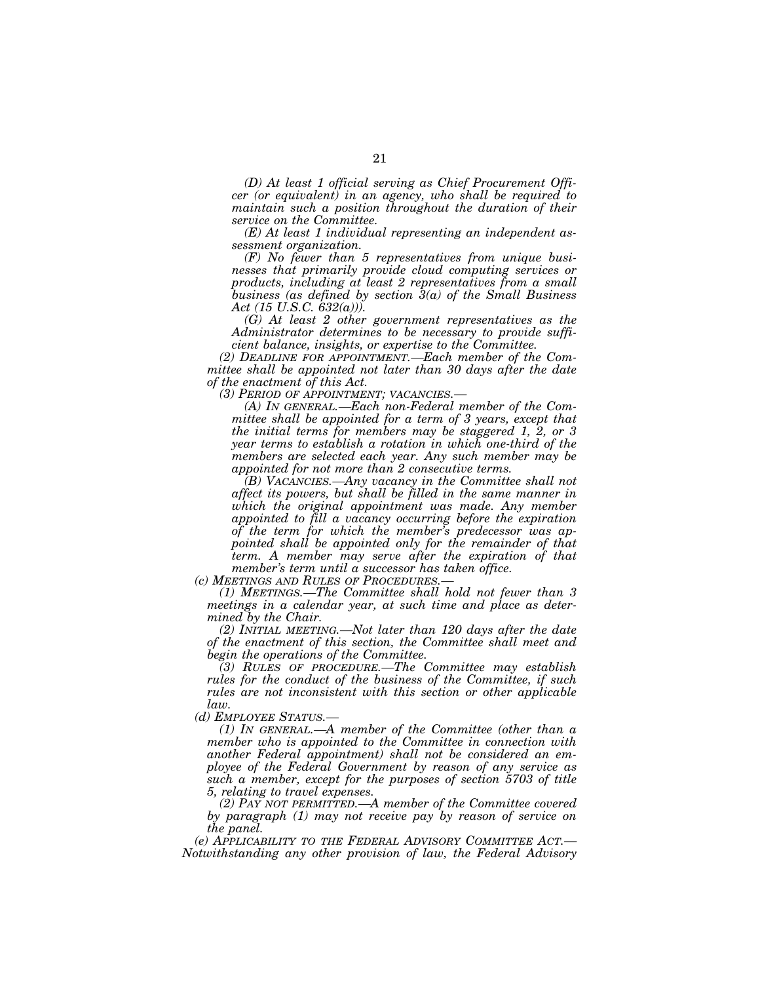*(D) At least 1 official serving as Chief Procurement Officer (or equivalent) in an agency, who shall be required to maintain such a position throughout the duration of their service on the Committee.* 

*(E) At least 1 individual representing an independent assessment organization.* 

*(F) No fewer than 5 representatives from unique businesses that primarily provide cloud computing services or products, including at least 2 representatives from a small business (as defined by section 3(a) of the Small Business Act (15 U.S.C. 632(a))).* 

*(G) At least 2 other government representatives as the Administrator determines to be necessary to provide sufficient balance, insights, or expertise to the Committee.* 

*(2) DEADLINE FOR APPOINTMENT.—Each member of the Committee shall be appointed not later than 30 days after the date of the enactment of this Act.* 

*(A) In GENERAL.—Each non-Federal member of the Committee shall be appointed for a term of 3 years, except that the initial terms for members may be staggered 1, 2, or 3 year terms to establish a rotation in which one-third of the members are selected each year. Any such member may be appointed for not more than 2 consecutive terms.* 

*(B) VACANCIES.—Any vacancy in the Committee shall not affect its powers, but shall be filled in the same manner in which the original appointment was made. Any member appointed to fill a vacancy occurring before the expiration of the term for which the member's predecessor was appointed shall be appointed only for the remainder of that term. A member may serve after the expiration of that member's term until a successor has taken office.* 

*(1) MEETINGS.—The Committee shall hold not fewer than 3 meetings in a calendar year, at such time and place as determined by the Chair.* 

*(2) INITIAL MEETING.—Not later than 120 days after the date of the enactment of this section, the Committee shall meet and begin the operations of the Committee.* 

*(3) RULES OF PROCEDURE.—The Committee may establish rules for the conduct of the business of the Committee, if such rules are not inconsistent with this section or other applicable law.* 

*(d) EMPLOYEE STATUS.—* 

*(1) IN GENERAL.—A member of the Committee (other than a member who is appointed to the Committee in connection with another Federal appointment) shall not be considered an employee of the Federal Government by reason of any service as such a member, except for the purposes of section 5703 of title 5, relating to travel expenses.* 

*(2) PAY NOT PERMITTED.—A member of the Committee covered by paragraph (1) may not receive pay by reason of service on the panel.* 

*(e) APPLICABILITY TO THE FEDERAL ADVISORY COMMITTEE ACT.— Notwithstanding any other provision of law, the Federal Advisory*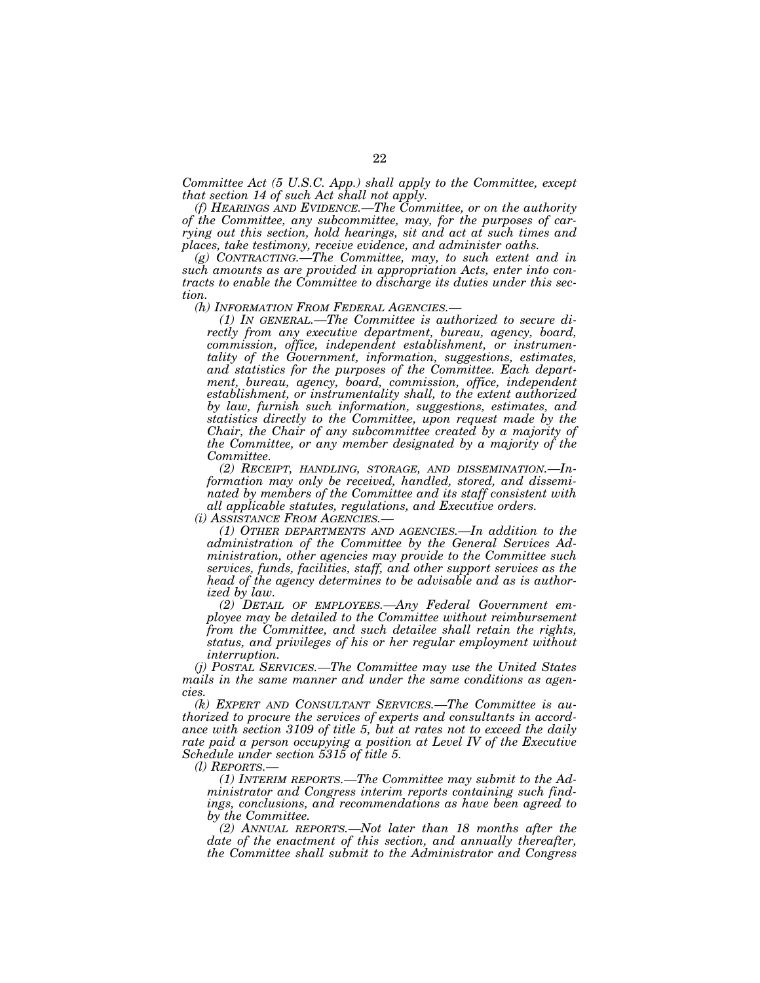*Committee Act (5 U.S.C. App.) shall apply to the Committee, except that section 14 of such Act shall not apply.* 

*(f) HEARINGS AND EVIDENCE.—The Committee, or on the authority of the Committee, any subcommittee, may, for the purposes of carrying out this section, hold hearings, sit and act at such times and places, take testimony, receive evidence, and administer oaths.* 

*(g) CONTRACTING.—The Committee, may, to such extent and in such amounts as are provided in appropriation Acts, enter into contracts to enable the Committee to discharge its duties under this section.*<br> *(h) INFORMATION FROM FEDERAL AGENCIES.* 

*(1) IN GENERAL.—The Committee is authorized to secure directly from any executive department, bureau, agency, board, commission, office, independent establishment, or instrumentality of the Government, information, suggestions, estimates, and statistics for the purposes of the Committee. Each department, bureau, agency, board, commission, office, independent establishment, or instrumentality shall, to the extent authorized by law, furnish such information, suggestions, estimates, and statistics directly to the Committee, upon request made by the Chair, the Chair of any subcommittee created by a majority of the Committee, or any member designated by a majority of the Committee.* 

*(2) RECEIPT, HANDLING, STORAGE, AND DISSEMINATION.—Information may only be received, handled, stored, and disseminated by members of the Committee and its staff consistent with all applicable statutes, regulations, and Executive orders.* 

*(i) ASSISTANCE FROM AGENCIES.— (1) OTHER DEPARTMENTS AND AGENCIES.—In addition to the administration of the Committee by the General Services Administration, other agencies may provide to the Committee such services, funds, facilities, staff, and other support services as the head of the agency determines to be advisable and as is authorized by law.* 

*(2) DETAIL OF EMPLOYEES.—Any Federal Government employee may be detailed to the Committee without reimbursement from the Committee, and such detailee shall retain the rights, status, and privileges of his or her regular employment without interruption.* 

*(j) POSTAL SERVICES.—The Committee may use the United States mails in the same manner and under the same conditions as agencies.* 

*(k) EXPERT AND CONSULTANT SERVICES.—The Committee is authorized to procure the services of experts and consultants in accordance with section 3109 of title 5, but at rates not to exceed the daily*  rate paid a person occupying a position at Level IV of the Executive *Schedule under section 5315 of title 5.* 

*(l) REPORTS.—* 

*(1) INTERIM REPORTS.—The Committee may submit to the Administrator and Congress interim reports containing such findings, conclusions, and recommendations as have been agreed to by the Committee.* 

*(2) ANNUAL REPORTS.—Not later than 18 months after the date of the enactment of this section, and annually thereafter, the Committee shall submit to the Administrator and Congress*